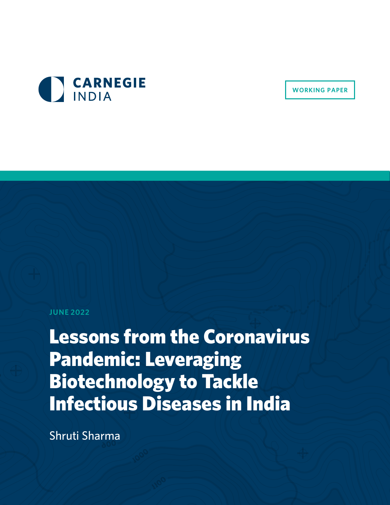

**WORKING PAPER**

#### **JUNE 2022**

Lessons from the Coronavirus Pandemic: Leveraging Biotechnology to Tackle Infectious Diseases in India

Shruti Sharma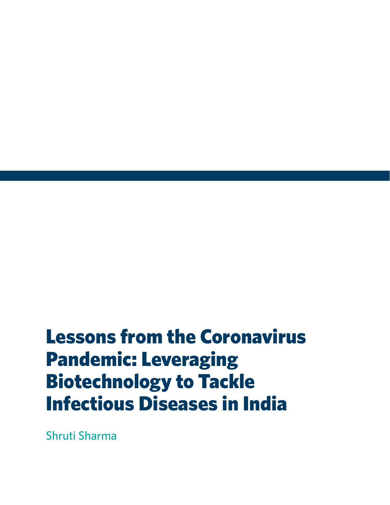# Lessons from the Coronavirus Pandemic: Leveraging Biotechnology to Tackle Infectious Diseases in India

Shruti Sharma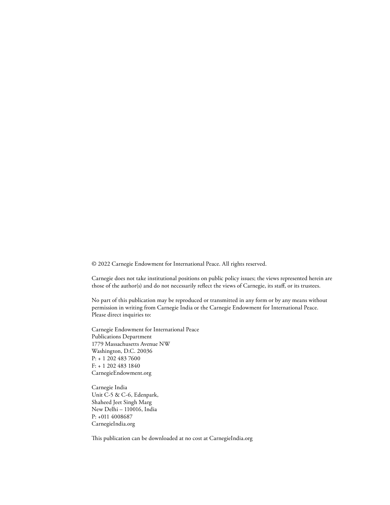© 2022 Carnegie Endowment for International Peace. All rights reserved.

Carnegie does not take institutional positions on public policy issues; the views represented herein are those of the author(s) and do not necessarily reflect the views of Carnegie, its staff, or its trustees.

No part of this publication may be reproduced or transmitted in any form or by any means without permission in writing from Carnegie India or the Carnegie Endowment for International Peace. Please direct inquiries to:

Carnegie Endowment for International Peace Publications Department 1779 Massachusetts Avenue NW Washington, D.C. 20036 P: + 1 202 483 7600 F: + 1 202 483 1840 CarnegieEndowment.org

Carnegie India Unit C-5 & C-6, Edenpark, Shaheed Jeet Singh Marg New Delhi – 110016, India P: +011 4008687 CarnegieIndia.org

This publication can be downloaded at no cost at CarnegieIndia.org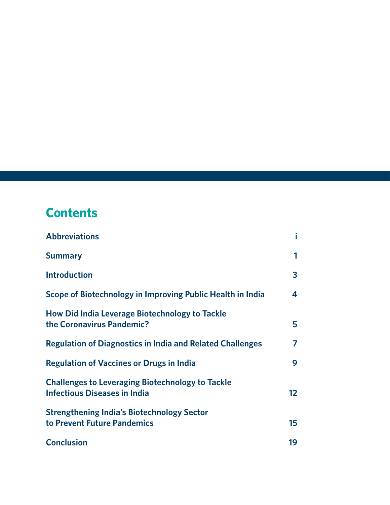# **Contents**

| <b>Abbreviations</b>                                                                           |                 |
|------------------------------------------------------------------------------------------------|-----------------|
| <b>Summary</b>                                                                                 | 1               |
| <b>Introduction</b>                                                                            | 3               |
| Scope of Biotechnology in Improving Public Health in India                                     | 4               |
| How Did India Leverage Biotechnology to Tackle<br>the Coronavirus Pandemic?                    | 5               |
| <b>Regulation of Diagnostics in India and Related Challenges</b>                               | 7               |
| <b>Regulation of Vaccines or Drugs in India</b>                                                | 9               |
| <b>Challenges to Leveraging Biotechnology to Tackle</b><br><b>Infectious Diseases in India</b> | 12 <sup>2</sup> |
| <b>Strengthening India's Biotechnology Sector</b><br>to Prevent Future Pandemics               | 15              |
| <b>Conclusion</b>                                                                              | 19              |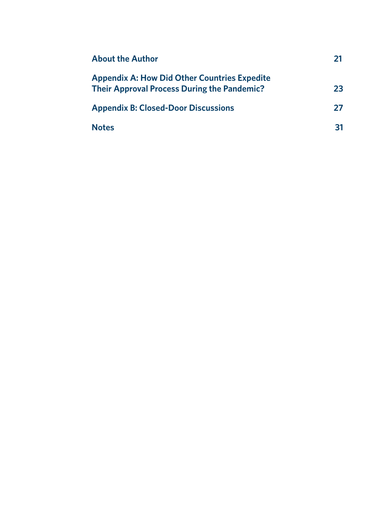| <b>About the Author</b>                                                                                   |    |
|-----------------------------------------------------------------------------------------------------------|----|
| <b>Appendix A: How Did Other Countries Expedite</b><br><b>Their Approval Process During the Pandemic?</b> | 23 |
| <b>Appendix B: Closed-Door Discussions</b>                                                                | 27 |
| <b>Notes</b>                                                                                              | 31 |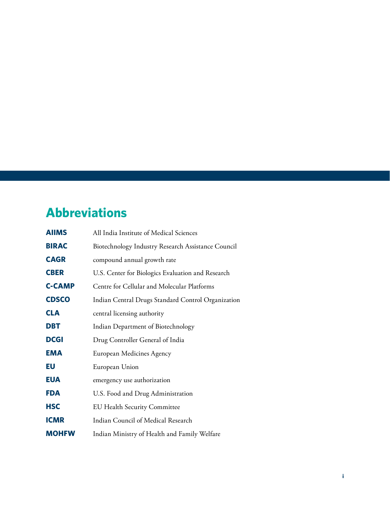# <span id="page-6-0"></span>**Abbreviations**

| <b>AIIMS</b>  | All India Institute of Medical Sciences            |
|---------------|----------------------------------------------------|
| <b>BIRAC</b>  | Biotechnology Industry Research Assistance Council |
| <b>CAGR</b>   | compound annual growth rate                        |
| <b>CBER</b>   | U.S. Center for Biologics Evaluation and Research  |
| <b>C-CAMP</b> | Centre for Cellular and Molecular Platforms        |
| <b>CDSCO</b>  | Indian Central Drugs Standard Control Organization |
| <b>CLA</b>    | central licensing authority                        |
| <b>DBT</b>    | Indian Department of Biotechnology                 |
| <b>DCGI</b>   | Drug Controller General of India                   |
| EMA           | European Medicines Agency                          |
| EU            | European Union                                     |
| <b>EUA</b>    | emergency use authorization                        |
| <b>FDA</b>    | U.S. Food and Drug Administration                  |
| <b>HSC</b>    | <b>EU Health Security Committee</b>                |
| <b>ICMR</b>   | Indian Council of Medical Research                 |
| <b>MOHFW</b>  | Indian Ministry of Health and Family Welfare       |
|               |                                                    |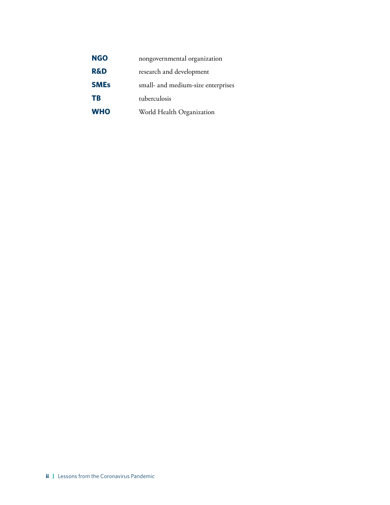| <b>NGO</b>     | nongovernmental organization       |
|----------------|------------------------------------|
| <b>R&amp;D</b> | research and development           |
| <b>SMEs</b>    | small- and medium-size enterprises |
| TB             | tuberculosis                       |
| <b>WHO</b>     | World Health Organization          |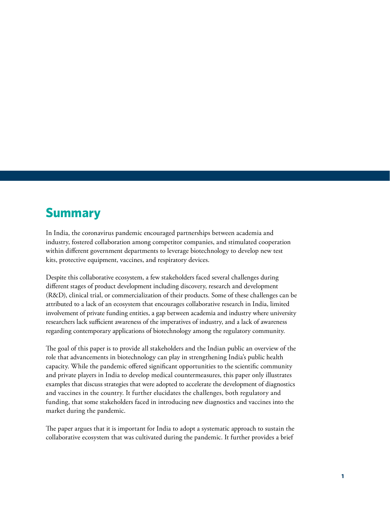### <span id="page-8-0"></span>**Summary**

In India, the coronavirus pandemic encouraged partnerships between academia and industry, fostered collaboration among competitor companies, and stimulated cooperation within different government departments to leverage biotechnology to develop new test kits, protective equipment, vaccines, and respiratory devices.

Despite this collaborative ecosystem, a few stakeholders faced several challenges during different stages of product development including discovery, research and development (R&D), clinical trial, or commercialization of their products. Some of these challenges can be attributed to a lack of an ecosystem that encourages collaborative research in India, limited involvement of private funding entities, a gap between academia and industry where university researchers lack sufficient awareness of the imperatives of industry, and a lack of awareness regarding contemporary applications of biotechnology among the regulatory community.

The goal of this paper is to provide all stakeholders and the Indian public an overview of the role that advancements in biotechnology can play in strengthening India's public health capacity. While the pandemic offered significant opportunities to the scientific community and private players in India to develop medical countermeasures, this paper only illustrates examples that discuss strategies that were adopted to accelerate the development of diagnostics and vaccines in the country. It further elucidates the challenges, both regulatory and funding, that some stakeholders faced in introducing new diagnostics and vaccines into the market during the pandemic.

The paper argues that it is important for India to adopt a systematic approach to sustain the collaborative ecosystem that was cultivated during the pandemic. It further provides a brief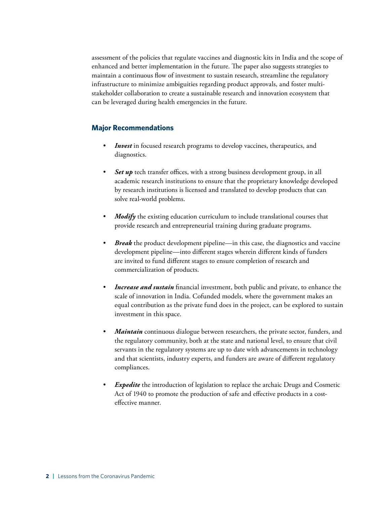assessment of the policies that regulate vaccines and diagnostic kits in India and the scope of enhanced and better implementation in the future. The paper also suggests strategies to maintain a continuous flow of investment to sustain research, streamline the regulatory infrastructure to minimize ambiguities regarding product approvals, and foster multistakeholder collaboration to create a sustainable research and innovation ecosystem that can be leveraged during health emergencies in the future.

#### **Major Recommendations**

- *Invest* in focused research programs to develop vaccines, therapeutics, and diagnostics.
- Set up tech transfer offices, with a strong business development group, in all academic research institutions to ensure that the proprietary knowledge developed by research institutions is licensed and translated to develop products that can solve real-world problems.
- *Modify* the existing education curriculum to include translational courses that provide research and entrepreneurial training during graduate programs.
- *Break* the product development pipeline—in this case, the diagnostics and vaccine development pipeline—into different stages wherein different kinds of funders are invited to fund different stages to ensure completion of research and commercialization of products.
- *Increase and sustain* financial investment, both public and private, to enhance the scale of innovation in India. Cofunded models, where the government makes an equal contribution as the private fund does in the project, can be explored to sustain investment in this space.
- *Maintain* continuous dialogue between researchers, the private sector, funders, and the regulatory community, both at the state and national level, to ensure that civil servants in the regulatory systems are up to date with advancements in technology and that scientists, industry experts, and funders are aware of different regulatory compliances.
- *Expedite* the introduction of legislation to replace the archaic Drugs and Cosmetic Act of 1940 to promote the production of safe and effective products in a costeffective manner.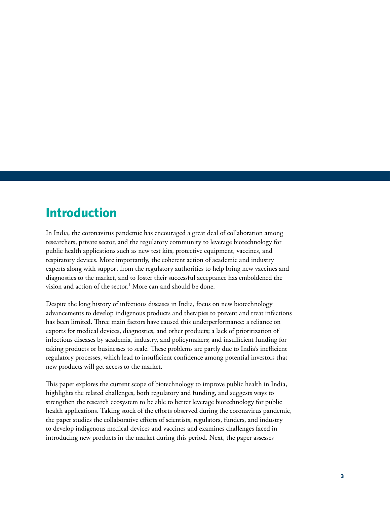### <span id="page-10-0"></span>**Introduction**

In India, the coronavirus pandemic has encouraged a great deal of collaboration among researchers, private sector, and the regulatory community to leverage biotechnology for public health applications such as new test kits, protective equipment, vaccines, and respiratory devices. More importantly, the coherent action of academic and industry experts along with support from the regulatory authorities to help bring new vaccines and diagnostics to the market, and to foster their successful acceptance has emboldened the vision and action of the sector.<sup>1</sup> More can and should be done.

Despite the long history of infectious diseases in India, focus on new biotechnology advancements to develop indigenous products and therapies to prevent and treat infections has been limited. Three main factors have caused this underperformance: a reliance on exports for medical devices, diagnostics, and other products; a lack of prioritization of infectious diseases by academia, industry, and policymakers; and insufficient funding for taking products or businesses to scale. These problems are partly due to India's inefficient regulatory processes, which lead to insufficient confidence among potential investors that new products will get access to the market.

This paper explores the current scope of biotechnology to improve public health in India, highlights the related challenges, both regulatory and funding, and suggests ways to strengthen the research ecosystem to be able to better leverage biotechnology for public health applications. Taking stock of the efforts observed during the coronavirus pandemic, the paper studies the collaborative efforts of scientists, regulators, funders, and industry to develop indigenous medical devices and vaccines and examines challenges faced in introducing new products in the market during this period. Next, the paper assesses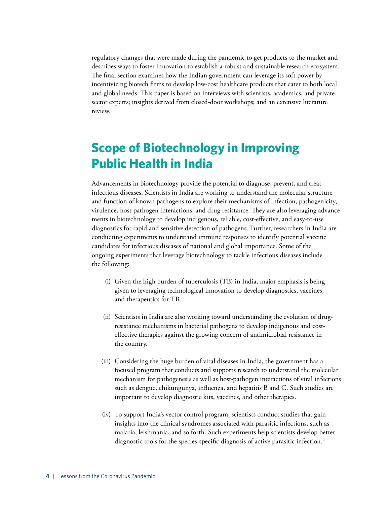regulatory changes that were made during the pandemic to get products to the market and describes ways to foster innovation to establish a robust and sustainable research ecosystem. The final section examines how the Indian government can leverage its soft power by incentivizing biotech firms to develop low-cost healthcare products that cater to both local and global needs. This paper is based on interviews with scientists, academics, and private sector experts; insights derived from closed-door workshops; and an extensive literature review.

# <span id="page-11-0"></span>**Scope of Biotechnology in Improving Public Health in India**

Advancements in biotechnology provide the potential to diagnose, prevent, and treat infectious diseases. Scientists in India are working to understand the molecular structure and function of known pathogens to explore their mechanisms of infection, pathogenicity, virulence, host-pathogen interactions, and drug resistance. They are also leveraging advancements in biotechnology to develop indigenous, reliable, cost-effective, and easy-to-use diagnostics for rapid and sensitive detection of pathogens. Further, researchers in India are conducting experiments to understand immune responses to identify potential vaccine candidates for infectious diseases of national and global importance. Some of the ongoing experiments that leverage biotechnology to tackle infectious diseases include the following:

- (i) Given the high burden of tuberculosis (TB) in India, major emphasis is being given to leveraging technological innovation to develop diagnostics, vaccines, and therapeutics for TB.
- (ii) Scientists in India are also working toward understanding the evolution of drugresistance mechanisms in bacterial pathogens to develop indigenous and costeffective therapies against the growing concern of antimicrobial resistance in the country.
- (iii) Considering the huge burden of viral diseases in India, the government has a focused program that conducts and supports research to understand the molecular mechanism for pathogenesis as well as host-pathogen interactions of viral infections such as dengue, chikungunya, influenza, and hepatitis B and C. Such studies are important to develop diagnostic kits, vaccines, and other therapies.
- (iv) To support India's vector control program, scientists conduct studies that gain insights into the clinical syndromes associated with parasitic infections, such as malaria, leishmania, and so forth. Such experiments help scientists develop better diagnostic tools for the species-specific diagnosis of active parasitic infection.<sup>2</sup>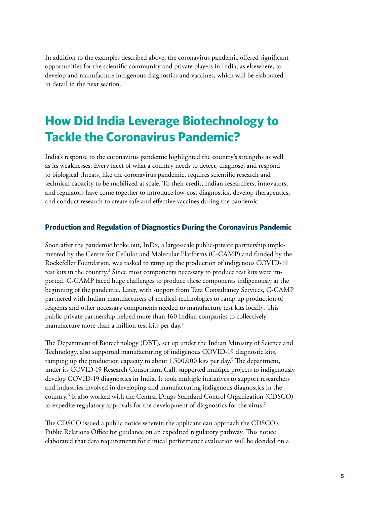In addition to the examples described above, the coronavirus pandemic offered significant opportunities for the scientific community and private players in India, as elsewhere, to develop and manufacture indigenous diagnostics and vaccines, which will be elaborated in detail in the next section.

### <span id="page-12-0"></span>**How Did India Leverage Biotechnology to Tackle the Coronavirus Pandemic?**

India's response to the coronavirus pandemic highlighted the country's strengths as well as its weaknesses. Every facet of what a country needs to detect, diagnose, and respond to biological threats, like the coronavirus pandemic, requires scientific research and technical capacity to be mobilized at scale. To their credit, Indian researchers, innovators, and regulators have come together to introduce low-cost diagnostics, develop therapeutics, and conduct research to create safe and effective vaccines during the pandemic.

#### **Production and Regulation of Diagnostics During the Coronavirus Pandemic**

Soon after the pandemic broke out, InDx, a large-scale public-private partnership implemented by the Centre for Cellular and Molecular Platforms (C-CAMP) and funded by the Rockefeller Foundation, was tasked to ramp up the production of indigenous COVID-19 test kits in the country.<sup>3</sup> Since most components necessary to produce test kits were imported, C-CAMP faced huge challenges to produce these components indigenously at the beginning of the pandemic. Later, with support from Tata Consultancy Services, C-CAMP partnered with Indian manufacturers of medical technologies to ramp up production of reagents and other necessary components needed to manufacture test kits locally. This public-private partnership helped more than 160 Indian companies to collectively manufacture more than a million test kits per day.4

The Department of Biotechnology (DBT), set up under the Indian Ministry of Science and Technology, also supported manufacturing of indigenous COVID-19 diagnostic kits, ramping up the production capacity to about 1,500,000 kits per day.<sup>5</sup> The department, under its COVID-19 Research Consortium Call, supported multiple projects to indigenously develop COVID-19 diagnostics in India. It took multiple initiatives to support researchers and industries involved in developing and manufacturing indigenous diagnostics in the country.6 It also worked with the Central Drugs Standard Control Organization (CDSCO) to expedite regulatory approvals for the development of diagnostics for the virus.<sup>7</sup>

The CDSCO issued a public notice wherein the applicant can approach the CDSCO's Public Relations Office for guidance on an expedited regulatory pathway. This notice elaborated that data requirements for clinical performance evaluation will be decided on a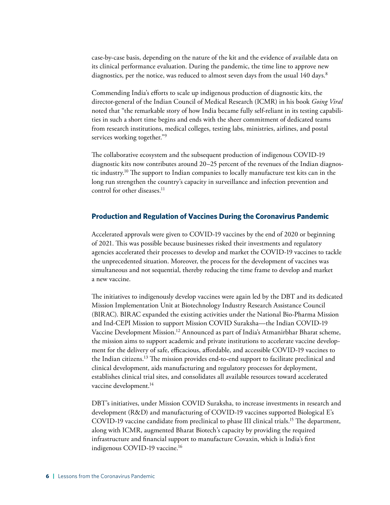case-by-case basis, depending on the nature of the kit and the evidence of available data on its clinical performance evaluation. During the pandemic, the time line to approve new diagnostics, per the notice, was reduced to almost seven days from the usual 140 days.<sup>8</sup>

Commending India's efforts to scale up indigenous production of diagnostic kits, the director-general of the Indian Council of Medical Research (ICMR) in his book *Going Viral* noted that "the remarkable story of how India became fully self-reliant in its testing capabilities in such a short time begins and ends with the sheer commitment of dedicated teams from research institutions, medical colleges, testing labs, ministries, airlines, and postal services working together."9

The collaborative ecosystem and the subsequent production of indigenous COVID-19 diagnostic kits now contributes around 20–25 percent of the revenues of the Indian diagnostic industry.10 The support to Indian companies to locally manufacture test kits can in the long run strengthen the country's capacity in surveillance and infection prevention and control for other diseases.<sup>11</sup>

#### **Production and Regulation of Vaccines During the Coronavirus Pandemic**

Accelerated approvals were given to COVID-19 vaccines by the end of 2020 or beginning of 2021. This was possible because businesses risked their investments and regulatory agencies accelerated their processes to develop and market the COVID-19 vaccines to tackle the unprecedented situation. Moreover, the process for the development of vaccines was simultaneous and not sequential, thereby reducing the time frame to develop and market a new vaccine.

The initiatives to indigenously develop vaccines were again led by the DBT and its dedicated Mission Implementation Unit at Biotechnology Industry Research Assistance Council (BIRAC). BIRAC expanded the existing activities under the National Bio-Pharma Mission and Ind-CEPI Mission to support Mission COVID Suraksha—the Indian COVID-19 Vaccine Development Mission.12 Announced as part of India's Atmanirbhar Bharat scheme, the mission aims to support academic and private institutions to accelerate vaccine development for the delivery of safe, efficacious, affordable, and accessible COVID-19 vaccines to the Indian citizens.13 The mission provides end-to-end support to facilitate preclinical and clinical development, aids manufacturing and regulatory processes for deployment, establishes clinical trial sites, and consolidates all available resources toward accelerated vaccine development.<sup>14</sup>

DBT's initiatives, under Mission COVID Suraksha, to increase investments in research and development (R&D) and manufacturing of COVID-19 vaccines supported Biological E's COVID-19 vaccine candidate from preclinical to phase III clinical trials.15 The department, along with ICMR, augmented Bharat Biotech's capacity by providing the required infrastructure and financial support to manufacture Covaxin, which is India's first indigenous COVID-19 vaccine.<sup>16</sup>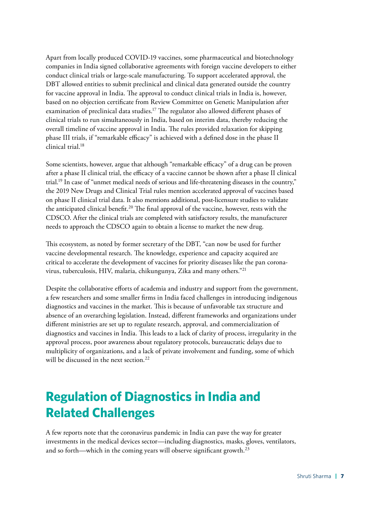Apart from locally produced COVID-19 vaccines, some pharmaceutical and biotechnology companies in India signed collaborative agreements with foreign vaccine developers to either conduct clinical trials or large-scale manufacturing. To support accelerated approval, the DBT allowed entities to submit preclinical and clinical data generated outside the country for vaccine approval in India. The approval to conduct clinical trials in India is, however, based on no objection certificate from Review Committee on Genetic Manipulation after examination of preclinical data studies.<sup>17</sup> The regulator also allowed different phases of clinical trials to run simultaneously in India, based on interim data, thereby reducing the overall timeline of vaccine approval in India. The rules provided relaxation for skipping phase III trials, if "remarkable efficacy" is achieved with a defined dose in the phase II clinical trial.18

Some scientists, however, argue that although "remarkable efficacy" of a drug can be proven after a phase II clinical trial, the efficacy of a vaccine cannot be shown after a phase II clinical trial.19 In case of "unmet medical needs of serious and life-threatening diseases in the country," the 2019 New Drugs and Clinical Trial rules mention accelerated approval of vaccines based on phase II clinical trial data. It also mentions additional, post-licensure studies to validate the anticipated clinical benefit.<sup>20</sup> The final approval of the vaccine, however, rests with the CDSCO. After the clinical trials are completed with satisfactory results, the manufacturer needs to approach the CDSCO again to obtain a license to market the new drug.

This ecosystem, as noted by former secretary of the DBT, "can now be used for further vaccine developmental research. The knowledge, experience and capacity acquired are critical to accelerate the development of vaccines for priority diseases like the pan coronavirus, tuberculosis, HIV, malaria, chikungunya, Zika and many others."21

Despite the collaborative efforts of academia and industry and support from the government, a few researchers and some smaller firms in India faced challenges in introducing indigenous diagnostics and vaccines in the market. This is because of unfavorable tax structure and absence of an overarching legislation. Instead, different frameworks and organizations under different ministries are set up to regulate research, approval, and commercialization of diagnostics and vaccines in India. This leads to a lack of clarity of process, irregularity in the approval process, poor awareness about regulatory protocols, bureaucratic delays due to multiplicity of organizations, and a lack of private involvement and funding, some of which will be discussed in the next section.<sup>22</sup>

# <span id="page-14-0"></span>**Regulation of Diagnostics in India and Related Challenges**

A few reports note that the coronavirus pandemic in India can pave the way for greater investments in the medical devices sector—including diagnostics, masks, gloves, ventilators, and so forth—which in the coming years will observe significant growth.<sup>23</sup>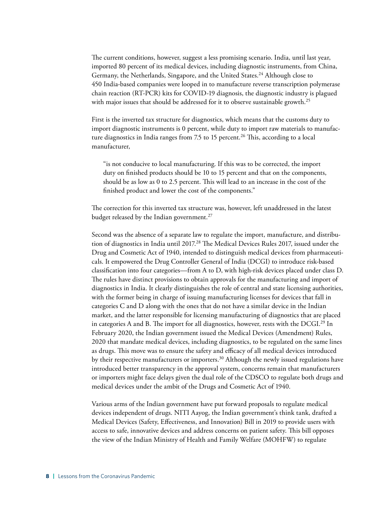The current conditions, however, suggest a less promising scenario. India, until last year, imported 80 percent of its medical devices, including diagnostic instruments, from China, Germany, the Netherlands, Singapore, and the United States.<sup>24</sup> Although close to 450 India-based companies were looped in to manufacture reverse transcription polymerase chain reaction (RT-PCR) kits for COVID-19 diagnosis, the diagnostic industry is plagued with major issues that should be addressed for it to observe sustainable growth.<sup>25</sup>

First is the inverted tax structure for diagnostics, which means that the customs duty to import diagnostic instruments is 0 percent, while duty to import raw materials to manufacture diagnostics in India ranges from 7.5 to 15 percent.<sup>26</sup> This, according to a local manufacturer,

"is not conducive to local manufacturing. If this was to be corrected, the import duty on finished products should be 10 to 15 percent and that on the components, should be as low as 0 to 2.5 percent. This will lead to an increase in the cost of the finished product and lower the cost of the components."

The correction for this inverted tax structure was, however, left unaddressed in the latest budget released by the Indian government.<sup>27</sup>

Second was the absence of a separate law to regulate the import, manufacture, and distribution of diagnostics in India until 2017.<sup>28</sup> The Medical Devices Rules 2017, issued under the Drug and Cosmetic Act of 1940, intended to distinguish medical devices from pharmaceuticals. It empowered the Drug Controller General of India (DCGI) to introduce risk-based classification into four categories—from A to D, with high-risk devices placed under class D. The rules have distinct provisions to obtain approvals for the manufacturing and import of diagnostics in India. It clearly distinguishes the role of central and state licensing authorities, with the former being in charge of issuing manufacturing licenses for devices that fall in categories C and D along with the ones that do not have a similar device in the Indian market, and the latter responsible for licensing manufacturing of diagnostics that are placed in categories A and B. The import for all diagnostics, however, rests with the  $DCGI<sup>29</sup>$  In February 2020, the Indian government issued the Medical Devices (Amendment) Rules, 2020 that mandate medical devices, including diagnostics, to be regulated on the same lines as drugs. This move was to ensure the safety and efficacy of all medical devices introduced by their respective manufacturers or importers.<sup>30</sup> Although the newly issued regulations have introduced better transparency in the approval system, concerns remain that manufacturers or importers might face delays given the dual role of the CDSCO to regulate both drugs and medical devices under the ambit of the Drugs and Cosmetic Act of 1940.

Various arms of the Indian government have put forward proposals to regulate medical devices independent of drugs. NITI Aayog, the Indian government's think tank, drafted a Medical Devices (Safety, Effectiveness, and Innovation) Bill in 2019 to provide users with access to safe, innovative devices and address concerns on patient safety. This bill opposes the view of the Indian Ministry of Health and Family Welfare (MOHFW) to regulate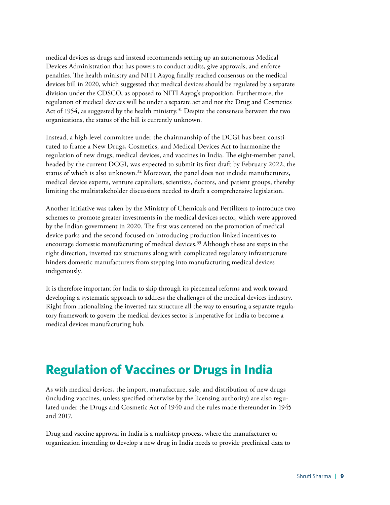medical devices as drugs and instead recommends setting up an autonomous Medical Devices Administration that has powers to conduct audits, give approvals, and enforce penalties. The health ministry and NITI Aayog finally reached consensus on the medical devices bill in 2020, which suggested that medical devices should be regulated by a separate division under the CDSCO, as opposed to NITI Aayog's proposition. Furthermore, the regulation of medical devices will be under a separate act and not the Drug and Cosmetics Act of 1954, as suggested by the health ministry.<sup>31</sup> Despite the consensus between the two organizations, the status of the bill is currently unknown.

Instead, a high-level committee under the chairmanship of the DCGI has been constituted to frame a New Drugs, Cosmetics, and Medical Devices Act to harmonize the regulation of new drugs, medical devices, and vaccines in India. The eight-member panel, headed by the current DCGI, was expected to submit its first draft by February 2022, the status of which is also unknown.32 Moreover, the panel does not include manufacturers, medical device experts, venture capitalists, scientists, doctors, and patient groups, thereby limiting the multistakeholder discussions needed to draft a comprehensive legislation.

Another initiative was taken by the Ministry of Chemicals and Fertilizers to introduce two schemes to promote greater investments in the medical devices sector, which were approved by the Indian government in 2020. The first was centered on the promotion of medical device parks and the second focused on introducing production-linked incentives to encourage domestic manufacturing of medical devices.33 Although these are steps in the right direction, inverted tax structures along with complicated regulatory infrastructure hinders domestic manufacturers from stepping into manufacturing medical devices indigenously.

It is therefore important for India to skip through its piecemeal reforms and work toward developing a systematic approach to address the challenges of the medical devices industry. Right from rationalizing the inverted tax structure all the way to ensuring a separate regulatory framework to govern the medical devices sector is imperative for India to become a medical devices manufacturing hub.

### <span id="page-16-0"></span>**Regulation of Vaccines or Drugs in India**

As with medical devices, the import, manufacture, sale, and distribution of new drugs (including vaccines, unless specified otherwise by the licensing authority) are also regulated under the Drugs and Cosmetic Act of 1940 and the rules made thereunder in 1945 and 2017.

Drug and vaccine approval in India is a multistep process, where the manufacturer or organization intending to develop a new drug in India needs to provide preclinical data to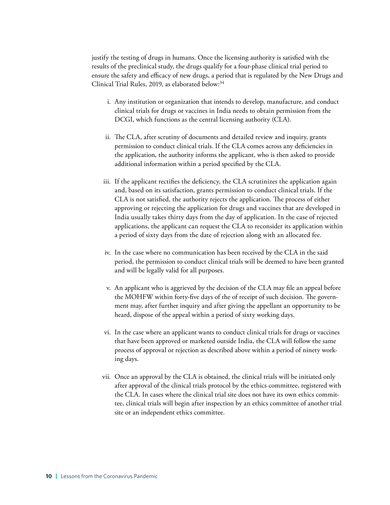justify the testing of drugs in humans. Once the licensing authority is satisfied with the results of the preclinical study, the drugs qualify for a four-phase clinical trial period to ensure the safety and efficacy of new drugs, a period that is regulated by the New Drugs and Clinical Trial Rules, 2019, as elaborated below:<sup>34</sup>

- i. Any institution or organization that intends to develop, manufacture, and conduct clinical trials for drugs or vaccines in India needs to obtain permission from the DCGI, which functions as the central licensing authority (CLA).
- ii. The CLA, after scrutiny of documents and detailed review and inquiry, grants permission to conduct clinical trials. If the CLA comes across any deficiencies in the application, the authority informs the applicant, who is then asked to provide additional information within a period specified by the CLA.
- iii. If the applicant rectifies the deficiency, the CLA scrutinizes the application again and, based on its satisfaction, grants permission to conduct clinical trials. If the CLA is not satisfied, the authority rejects the application. The process of either approving or rejecting the application for drugs and vaccines that are developed in India usually takes thirty days from the day of application. In the case of rejected applications, the applicant can request the CLA to reconsider its application within a period of sixty days from the date of rejection along with an allocated fee.
- iv. In the case where no communication has been received by the CLA in the said period, the permission to conduct clinical trials will be deemed to have been granted and will be legally valid for all purposes.
- v. An applicant who is aggrieved by the decision of the CLA may file an appeal before the MOHFW within forty-five days of the of receipt of such decision. The government may, after further inquiry and after giving the appellant an opportunity to be heard, dispose of the appeal within a period of sixty working days.
- vi. In the case where an applicant wants to conduct clinical trials for drugs or vaccines that have been approved or marketed outside India, the CLA will follow the same process of approval or rejection as described above within a period of ninety working days.
- vii. Once an approval by the CLA is obtained, the clinical trials will be initiated only after approval of the clinical trials protocol by the ethics committee, registered with the CLA. In cases where the clinical trial site does not have its own ethics committee, clinical trials will begin after inspection by an ethics committee of another trial site or an independent ethics committee.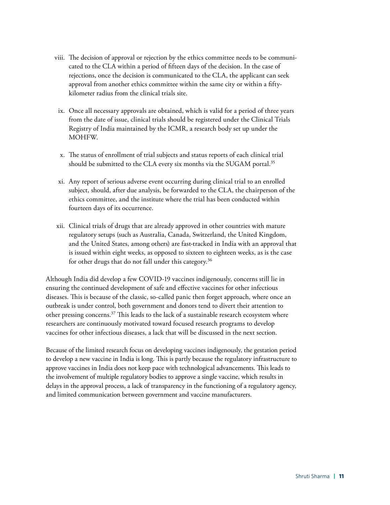- viii. The decision of approval or rejection by the ethics committee needs to be communicated to the CLA within a period of fifteen days of the decision. In the case of rejections, once the decision is communicated to the CLA, the applicant can seek approval from another ethics committee within the same city or within a fiftykilometer radius from the clinical trials site.
	- ix. Once all necessary approvals are obtained, which is valid for a period of three years from the date of issue, clinical trials should be registered under the Clinical Trials Registry of India maintained by the ICMR, a research body set up under the MOHFW.
	- x. The status of enrollment of trial subjects and status reports of each clinical trial should be submitted to the CLA every six months via the SUGAM portal.<sup>35</sup>
- xi. Any report of serious adverse event occurring during clinical trial to an enrolled subject, should, after due analysis, be forwarded to the CLA, the chairperson of the ethics committee, and the institute where the trial has been conducted within fourteen days of its occurrence.
- xii. Clinical trials of drugs that are already approved in other countries with mature regulatory setups (such as Australia, Canada, Switzerland, the United Kingdom, and the United States, among others) are fast-tracked in India with an approval that is issued within eight weeks, as opposed to sixteen to eighteen weeks, as is the case for other drugs that do not fall under this category.<sup>36</sup>

Although India did develop a few COVID-19 vaccines indigenously, concerns still lie in ensuring the continued development of safe and effective vaccines for other infectious diseases. This is because of the classic, so-called panic then forget approach, where once an outbreak is under control, both government and donors tend to divert their attention to other pressing concerns.37 This leads to the lack of a sustainable research ecosystem where researchers are continuously motivated toward focused research programs to develop vaccines for other infectious diseases, a lack that will be discussed in the next section.

Because of the limited research focus on developing vaccines indigenously, the gestation period to develop a new vaccine in India is long. This is partly because the regulatory infrastructure to approve vaccines in India does not keep pace with technological advancements. This leads to the involvement of multiple regulatory bodies to approve a single vaccine, which results in delays in the approval process, a lack of transparency in the functioning of a regulatory agency, and limited communication between government and vaccine manufacturers.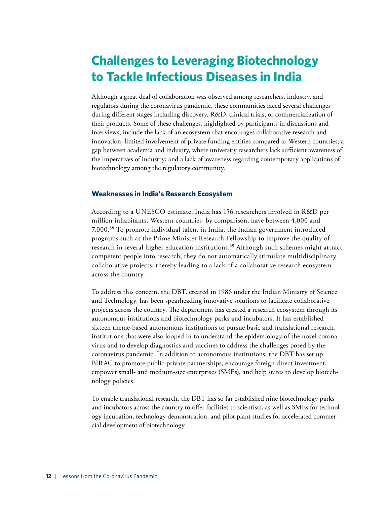# <span id="page-19-0"></span>**Challenges to Leveraging Biotechnology to Tackle Infectious Diseases in India**

Although a great deal of collaboration was observed among researchers, industry, and regulators during the coronavirus pandemic, these communities faced several challenges during different stages including discovery, R&D, clinical trials, or commercialization of their products. Some of these challenges, highlighted by participants in discussions and interviews, include the lack of an ecosystem that encourages collaborative research and innovation; limited involvement of private funding entities compared to Western countries; a gap between academia and industry, where university researchers lack sufficient awareness of the imperatives of industry; and a lack of awareness regarding contemporary applications of biotechnology among the regulatory community.

#### **Weaknesses in India's Research Ecosystem**

According to a UNESCO estimate, India has 156 researchers involved in R&D per million inhabitants. Western countries, by comparison, have between 4,000 and 7,000.38 To promote individual talent in India, the Indian government introduced programs such as the Prime Minister Research Fellowship to improve the quality of research in several higher education institutions.39 Although such schemes might attract competent people into research, they do not automatically stimulate multidisciplinary collaborative projects, thereby leading to a lack of a collaborative research ecosystem across the country.

To address this concern, the DBT, created in 1986 under the Indian Ministry of Science and Technology, has been spearheading innovative solutions to facilitate collaborative projects across the country. The department has created a research ecosystem through its autonomous institutions and biotechnology parks and incubators. It has established sixteen theme-based autonomous institutions to pursue basic and translational research, institutions that were also looped in to understand the epidemiology of the novel coronavirus and to develop diagnostics and vaccines to address the challenges posed by the coronavirus pandemic. In addition to autonomous institutions, the DBT has set up BIRAC to promote public-private partnerships, encourage foreign direct investment, empower small- and medium-size enterprises (SMEs), and help states to develop biotechnology policies.

To enable translational research, the DBT has so far established nine biotechnology parks and incubators across the country to offer facilities to scientists, as well as SMEs for technology incubation, technology demonstration, and pilot plant studies for accelerated commercial development of biotechnology.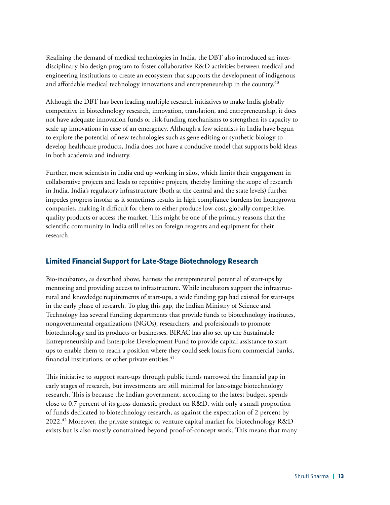Realizing the demand of medical technologies in India, the DBT also introduced an interdisciplinary bio design program to foster collaborative R&D activities between medical and engineering institutions to create an ecosystem that supports the development of indigenous and affordable medical technology innovations and entrepreneurship in the country.<sup>40</sup>

Although the DBT has been leading multiple research initiatives to make India globally competitive in biotechnology research, innovation, translation, and entrepreneurship, it does not have adequate innovation funds or risk-funding mechanisms to strengthen its capacity to scale up innovations in case of an emergency. Although a few scientists in India have begun to explore the potential of new technologies such as gene editing or synthetic biology to develop healthcare products, India does not have a conducive model that supports bold ideas in both academia and industry.

Further, most scientists in India end up working in silos, which limits their engagement in collaborative projects and leads to repetitive projects, thereby limiting the scope of research in India. India's regulatory infrastructure (both at the central and the state levels) further impedes progress insofar as it sometimes results in high compliance burdens for homegrown companies, making it difficult for them to either produce low-cost, globally competitive, quality products or access the market. This might be one of the primary reasons that the scientific community in India still relies on foreign reagents and equipment for their research.

#### **Limited Financial Support for Late-Stage Biotechnology Research**

Bio-incubators, as described above, harness the entrepreneurial potential of start-ups by mentoring and providing access to infrastructure. While incubators support the infrastructural and knowledge requirements of start-ups, a wide funding gap had existed for start-ups in the early phase of research. To plug this gap, the Indian Ministry of Science and Technology has several funding departments that provide funds to biotechnology institutes, nongovernmental organizations (NGOs), researchers, and professionals to promote biotechnology and its products or businesses. BIRAC has also set up the Sustainable Entrepreneurship and Enterprise Development Fund to provide capital assistance to startups to enable them to reach a position where they could seek loans from commercial banks, financial institutions, or other private entities.<sup>41</sup>

This initiative to support start-ups through public funds narrowed the financial gap in early stages of research, but investments are still minimal for late-stage biotechnology research. This is because the Indian government, according to the latest budget, spends close to 0.7 percent of its gross domestic product on R&D, with only a small proportion of funds dedicated to biotechnology research, as against the expectation of 2 percent by 2022.<sup>42</sup> Moreover, the private strategic or venture capital market for biotechnology R&D exists but is also mostly constrained beyond proof-of-concept work. This means that many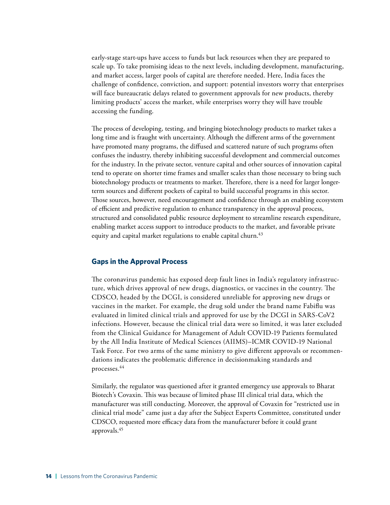early-stage start-ups have access to funds but lack resources when they are prepared to scale up. To take promising ideas to the next levels, including development, manufacturing, and market access, larger pools of capital are therefore needed. Here, India faces the challenge of confidence, conviction, and support: potential investors worry that enterprises will face bureaucratic delays related to government approvals for new products, thereby limiting products' access the market, while enterprises worry they will have trouble accessing the funding.

The process of developing, testing, and bringing biotechnology products to market takes a long time and is fraught with uncertainty. Although the different arms of the government have promoted many programs, the diffused and scattered nature of such programs often confuses the industry, thereby inhibiting successful development and commercial outcomes for the industry. In the private sector, venture capital and other sources of innovation capital tend to operate on shorter time frames and smaller scales than those necessary to bring such biotechnology products or treatments to market. Therefore, there is a need for larger longerterm sources and different pockets of capital to build successful programs in this sector. Those sources, however, need encouragement and confidence through an enabling ecosystem of efficient and predictive regulation to enhance transparency in the approval process, structured and consolidated public resource deployment to streamline research expenditure, enabling market access support to introduce products to the market, and favorable private equity and capital market regulations to enable capital churn.<sup>43</sup>

#### **Gaps in the Approval Process**

The coronavirus pandemic has exposed deep fault lines in India's regulatory infrastructure, which drives approval of new drugs, diagnostics, or vaccines in the country. The CDSCO, headed by the DCGI, is considered unreliable for approving new drugs or vaccines in the market. For example, the drug sold under the brand name Fabiflu was evaluated in limited clinical trials and approved for use by the DCGI in SARS-CoV2 infections. However, because the clinical trial data were so limited, it was later excluded from the Clinical Guidance for Management of Adult COVID-19 Patients formulated by the All India Institute of Medical Sciences (AIIMS)–ICMR COVID-19 National Task Force. For two arms of the same ministry to give different approvals or recommendations indicates the problematic difference in decisionmaking standards and processes.44

Similarly, the regulator was questioned after it granted emergency use approvals to Bharat Biotech's Covaxin. This was because of limited phase III clinical trial data, which the manufacturer was still conducting. Moreover, the approval of Covaxin for "restricted use in clinical trial mode" came just a day after the Subject Experts Committee, constituted under CDSCO, requested more efficacy data from the manufacturer before it could grant approvals.45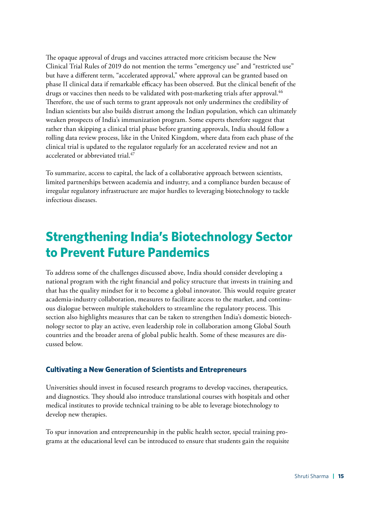The opaque approval of drugs and vaccines attracted more criticism because the New Clinical Trial Rules of 2019 do not mention the terms "emergency use" and "restricted use" but have a different term, "accelerated approval," where approval can be granted based on phase II clinical data if remarkable efficacy has been observed. But the clinical benefit of the drugs or vaccines then needs to be validated with post-marketing trials after approval.<sup>46</sup> Therefore, the use of such terms to grant approvals not only undermines the credibility of Indian scientists but also builds distrust among the Indian population, which can ultimately weaken prospects of India's immunization program. Some experts therefore suggest that rather than skipping a clinical trial phase before granting approvals, India should follow a rolling data review process, like in the United Kingdom, where data from each phase of the clinical trial is updated to the regulator regularly for an accelerated review and not an accelerated or abbreviated trial.<sup>47</sup>

To summarize, access to capital, the lack of a collaborative approach between scientists, limited partnerships between academia and industry, and a compliance burden because of irregular regulatory infrastructure are major hurdles to leveraging biotechnology to tackle infectious diseases.

### **Strengthening India's Biotechnology Sector to Prevent Future Pandemics**

To address some of the challenges discussed above, India should consider developing a national program with the right financial and policy structure that invests in training and that has the quality mindset for it to become a global innovator. This would require greater academia-industry collaboration, measures to facilitate access to the market, and continuous dialogue between multiple stakeholders to streamline the regulatory process. This section also highlights measures that can be taken to strengthen India's domestic biotechnology sector to play an active, even leadership role in collaboration among Global South countries and the broader arena of global public health. Some of these measures are discussed below.

#### **Cultivating a New Generation of Scientists and Entrepreneurs**

Universities should invest in focused research programs to develop vaccines, therapeutics, and diagnostics. They should also introduce translational courses with hospitals and other medical institutes to provide technical training to be able to leverage biotechnology to develop new therapies.

To spur innovation and entrepreneurship in the public health sector, special training programs at the educational level can be introduced to ensure that students gain the requisite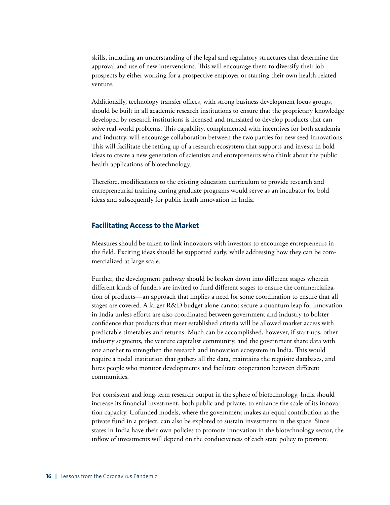skills, including an understanding of the legal and regulatory structures that determine the approval and use of new interventions. This will encourage them to diversify their job prospects by either working for a prospective employer or starting their own health-related venture.

Additionally, technology transfer offices, with strong business development focus groups, should be built in all academic research institutions to ensure that the proprietary knowledge developed by research institutions is licensed and translated to develop products that can solve real-world problems. This capability, complemented with incentives for both academia and industry, will encourage collaboration between the two parties for new seed innovations. This will facilitate the setting up of a research ecosystem that supports and invests in bold ideas to create a new generation of scientists and entrepreneurs who think about the public health applications of biotechnology.

Therefore, modifications to the existing education curriculum to provide research and entrepreneurial training during graduate programs would serve as an incubator for bold ideas and subsequently for public heath innovation in India.

#### **Facilitating Access to the Market**

Measures should be taken to link innovators with investors to encourage entrepreneurs in the field. Exciting ideas should be supported early, while addressing how they can be commercialized at large scale.

Further, the development pathway should be broken down into different stages wherein different kinds of funders are invited to fund different stages to ensure the commercialization of products—an approach that implies a need for some coordination to ensure that all stages are covered. A larger R&D budget alone cannot secure a quantum leap for innovation in India unless efforts are also coordinated between government and industry to bolster confidence that products that meet established criteria will be allowed market access with predictable timetables and returns. Much can be accomplished, however, if start-ups, other industry segments, the venture capitalist community, and the government share data with one another to strengthen the research and innovation ecosystem in India. This would require a nodal institution that gathers all the data, maintains the requisite databases, and hires people who monitor developments and facilitate cooperation between different communities.

For consistent and long-term research output in the sphere of biotechnology, India should increase its financial investment, both public and private, to enhance the scale of its innovation capacity. Cofunded models, where the government makes an equal contribution as the private fund in a project, can also be explored to sustain investments in the space. Since states in India have their own policies to promote innovation in the biotechnology sector, the inflow of investments will depend on the conduciveness of each state policy to promote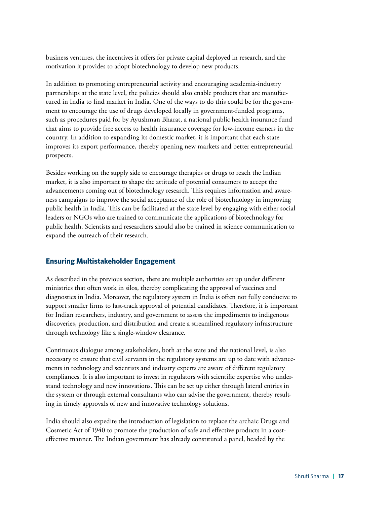business ventures, the incentives it offers for private capital deployed in research, and the motivation it provides to adopt biotechnology to develop new products.

In addition to promoting entrepreneurial activity and encouraging academia-industry partnerships at the state level, the policies should also enable products that are manufactured in India to find market in India. One of the ways to do this could be for the government to encourage the use of drugs developed locally in government-funded programs, such as procedures paid for by Ayushman Bharat, a national public health insurance fund that aims to provide free access to health insurance coverage for low-income earners in the country. In addition to expanding its domestic market, it is important that each state improves its export performance, thereby opening new markets and better entrepreneurial prospects.

Besides working on the supply side to encourage therapies or drugs to reach the Indian market, it is also important to shape the attitude of potential consumers to accept the advancements coming out of biotechnology research. This requires information and awareness campaigns to improve the social acceptance of the role of biotechnology in improving public health in India. This can be facilitated at the state level by engaging with either social leaders or NGOs who are trained to communicate the applications of biotechnology for public health. Scientists and researchers should also be trained in science communication to expand the outreach of their research.

#### **Ensuring Multistakeholder Engagement**

As described in the previous section, there are multiple authorities set up under different ministries that often work in silos, thereby complicating the approval of vaccines and diagnostics in India. Moreover, the regulatory system in India is often not fully conducive to support smaller firms to fast-track approval of potential candidates. Therefore, it is important for Indian researchers, industry, and government to assess the impediments to indigenous discoveries, production, and distribution and create a streamlined regulatory infrastructure through technology like a single-window clearance.

Continuous dialogue among stakeholders, both at the state and the national level, is also necessary to ensure that civil servants in the regulatory systems are up to date with advancements in technology and scientists and industry experts are aware of different regulatory compliances. It is also important to invest in regulators with scientific expertise who understand technology and new innovations. This can be set up either through lateral entries in the system or through external consultants who can advise the government, thereby resulting in timely approvals of new and innovative technology solutions.

India should also expedite the introduction of legislation to replace the archaic Drugs and Cosmetic Act of 1940 to promote the production of safe and effective products in a costeffective manner. The Indian government has already constituted a panel, headed by the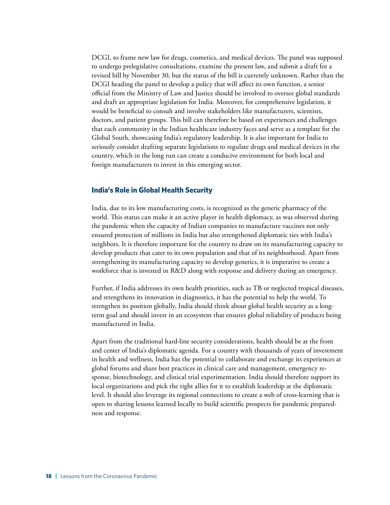DCGI, to frame new law for drugs, cosmetics, and medical devices. The panel was supposed to undergo prelegislative consultations, examine the present law, and submit a draft for a revised bill by November 30, but the status of the bill is currently unknown. Rather than the DCGI heading the panel to develop a policy that will affect its own function, a senior official from the Ministry of Law and Justice should be involved to oversee global standards and draft an appropriate legislation for India. Moreover, for comprehensive legislation, it would be beneficial to consult and involve stakeholders like manufacturers, scientists, doctors, and patient groups. This bill can therefore be based on experiences and challenges that each community in the Indian healthcare industry faces and serve as a template for the Global South, showcasing India's regulatory leadership. It is also important for India to seriously consider drafting separate legislations to regulate drugs and medical devices in the country, which in the long run can create a conducive environment for both local and foreign manufacturers to invest in this emerging sector.

#### **India's Role in Global Health Security**

India, due to its low manufacturing costs, is recognized as the generic pharmacy of the world. This status can make it an active player in health diplomacy, as was observed during the pandemic when the capacity of Indian companies to manufacture vaccines not only ensured protection of millions in India but also strengthened diplomatic ties with India's neighbors. It is therefore important for the country to draw on its manufacturing capacity to develop products that cater to its own population and that of its neighborhood. Apart from strengthening its manufacturing capacity to develop generics, it is imperative to create a workforce that is invested in R&D along with response and delivery during an emergency.

Further, if India addresses its own health priorities, such as TB or neglected tropical diseases, and strengthens its innovation in diagnostics, it has the potential to help the world. To strengthen its position globally, India should think about global health security as a longterm goal and should invest in an ecosystem that ensures global reliability of products being manufactured in India.

Apart from the traditional hard-line security considerations, health should be at the front and center of India's diplomatic agenda. For a country with thousands of years of investment in health and wellness, India has the potential to collaborate and exchange its experiences at global forums and share best practices in clinical care and management, emergency response, biotechnology, and clinical trial experimentation. India should therefore support its local organizations and pick the right allies for it to establish leadership at the diplomatic level. It should also leverage its regional connections to create a web of cross-learning that is open to sharing lessons learned locally to build scientific prospects for pandemic preparedness and response.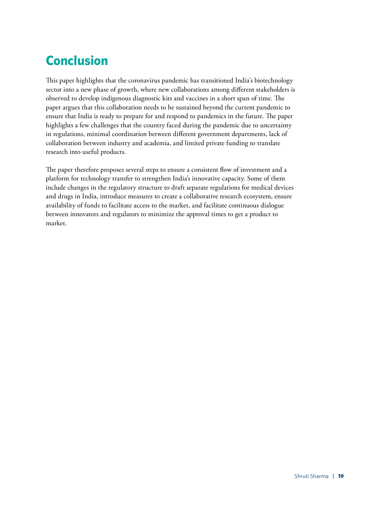# <span id="page-26-0"></span>**Conclusion**

This paper highlights that the coronavirus pandemic has transitioned India's biotechnology sector into a new phase of growth, where new collaborations among different stakeholders is observed to develop indigenous diagnostic kits and vaccines in a short span of time. The paper argues that this collaboration needs to be sustained beyond the current pandemic to ensure that India is ready to prepare for and respond to pandemics in the future. The paper highlights a few challenges that the country faced during the pandemic due to uncertainty in regulations, minimal coordination between different government departments, lack of collaboration between industry and academia, and limited private funding to translate research into useful products.

The paper therefore proposes several steps to ensure a consistent flow of investment and a platform for technology transfer to strengthen India's innovative capacity. Some of them include changes in the regulatory structure to draft separate regulations for medical devices and drugs in India, introduce measures to create a collaborative research ecosystem, ensure availability of funds to facilitate access to the market, and facilitate continuous dialogue between innovators and regulators to minimize the approval times to get a product to market.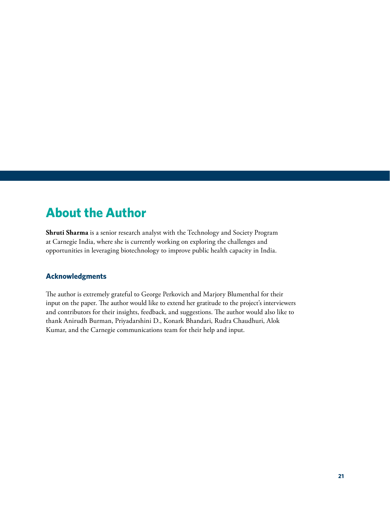### <span id="page-28-0"></span>**About the Author**

**Shruti Sharma** is a senior research analyst with the Technology and Society Program at Carnegie India, where she is currently working on exploring the challenges and opportunities in leveraging biotechnology to improve public health capacity in India.

#### **Acknowledgments**

The author is extremely grateful to George Perkovich and Marjory Blumenthal for their input on the paper. The author would like to extend her gratitude to the project's interviewers and contributors for their insights, feedback, and suggestions. The author would also like to thank Anirudh Burman, Priyadarshini D., Konark Bhandari, Rudra Chaudhuri, Alok Kumar, and the Carnegie communications team for their help and input.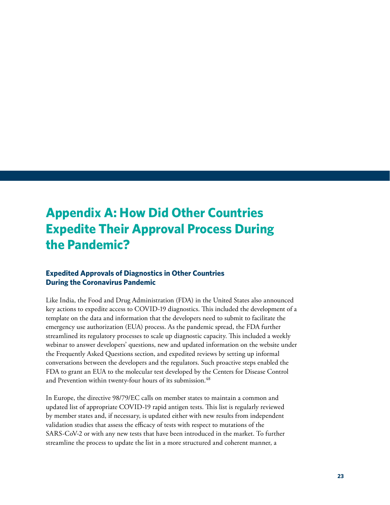# <span id="page-30-0"></span>**Appendix A: How Did Other Countries Expedite Their Approval Process During the Pandemic?**

#### **Expedited Approvals of Diagnostics in Other Countries During the Coronavirus Pandemic**

Like India, the Food and Drug Administration (FDA) in the United States also announced key actions to expedite access to COVID-19 diagnostics. This included the development of a template on the data and information that the developers need to submit to facilitate the emergency use authorization (EUA) process. As the pandemic spread, the FDA further streamlined its regulatory processes to scale up diagnostic capacity. This included a weekly webinar to answer developers' questions, new and updated information on the website under the Frequently Asked Questions section, and expedited reviews by setting up informal conversations between the developers and the regulators. Such proactive steps enabled the FDA to grant an EUA to the molecular test developed by the Centers for Disease Control and Prevention within twenty-four hours of its submission.<sup>48</sup>

In Europe, the directive 98/79/EC calls on member states to maintain a common and updated list of appropriate COVID-19 rapid antigen tests. This list is regularly reviewed by member states and, if necessary, is updated either with new results from independent validation studies that assess the efficacy of tests with respect to mutations of the SARS-CoV-2 or with any new tests that have been introduced in the market. To further streamline the process to update the list in a more structured and coherent manner, a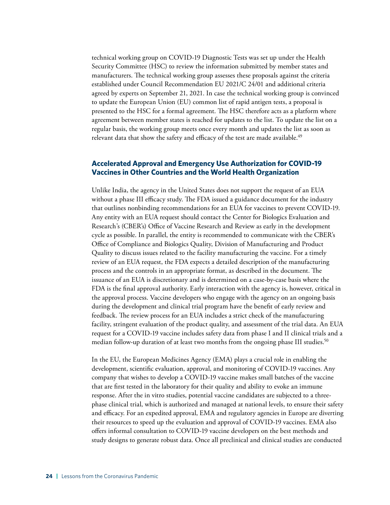technical working group on COVID-19 Diagnostic Tests was set up under the Health Security Committee (HSC) to review the information submitted by member states and manufacturers. The technical working group assesses these proposals against the criteria established under Council Recommendation EU 2021/C 24/01 and additional criteria agreed by experts on September 21, 2021. In case the technical working group is convinced to update the European Union (EU) common list of rapid antigen tests, a proposal is presented to the HSC for a formal agreement. The HSC therefore acts as a platform where agreement between member states is reached for updates to the list. To update the list on a regular basis, the working group meets once every month and updates the list as soon as relevant data that show the safety and efficacy of the test are made available.<sup>49</sup>

#### **Accelerated Approval and Emergency Use Authorization for COVID-19 Vaccines in Other Countries and the World Health Organization**

Unlike India, the agency in the United States does not support the request of an EUA without a phase III efficacy study. The FDA issued a guidance document for the industry that outlines nonbinding recommendations for an EUA for vaccines to prevent COVID-19. Any entity with an EUA request should contact the Center for Biologics Evaluation and Research's (CBER's) Office of Vaccine Research and Review as early in the development cycle as possible. In parallel, the entity is recommended to communicate with the CBER's Office of Compliance and Biologics Quality, Division of Manufacturing and Product Quality to discuss issues related to the facility manufacturing the vaccine. For a timely review of an EUA request, the FDA expects a detailed description of the manufacturing process and the controls in an appropriate format, as described in the document. The issuance of an EUA is discretionary and is determined on a case-by-case basis where the FDA is the final approval authority. Early interaction with the agency is, however, critical in the approval process. Vaccine developers who engage with the agency on an ongoing basis during the development and clinical trial program have the benefit of early review and feedback. The review process for an EUA includes a strict check of the manufacturing facility, stringent evaluation of the product quality, and assessment of the trial data. An EUA request for a COVID-19 vaccine includes safety data from phase I and II clinical trials and a median follow-up duration of at least two months from the ongoing phase III studies.<sup>50</sup>

In the EU, the European Medicines Agency (EMA) plays a crucial role in enabling the development, scientific evaluation, approval, and monitoring of COVID-19 vaccines. Any company that wishes to develop a COVID-19 vaccine makes small batches of the vaccine that are first tested in the laboratory for their quality and ability to evoke an immune response. After the in vitro studies, potential vaccine candidates are subjected to a threephase clinical trial, which is authorized and managed at national levels, to ensure their safety and efficacy. For an expedited approval, EMA and regulatory agencies in Europe are diverting their resources to speed up the evaluation and approval of COVID-19 vaccines. EMA also offers informal consultation to COVID-19 vaccine developers on the best methods and study designs to generate robust data. Once all preclinical and clinical studies are conducted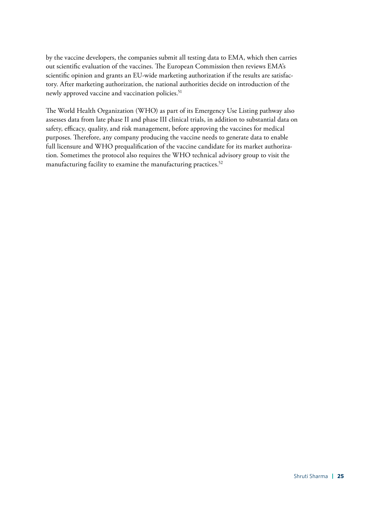by the vaccine developers, the companies submit all testing data to EMA, which then carries out scientific evaluation of the vaccines. The European Commission then reviews EMA's scientific opinion and grants an EU-wide marketing authorization if the results are satisfactory. After marketing authorization, the national authorities decide on introduction of the newly approved vaccine and vaccination policies.<sup>51</sup>

The World Health Organization (WHO) as part of its Emergency Use Listing pathway also assesses data from late phase II and phase III clinical trials, in addition to substantial data on safety, efficacy, quality, and risk management, before approving the vaccines for medical purposes. Therefore, any company producing the vaccine needs to generate data to enable full licensure and WHO prequalification of the vaccine candidate for its market authorization. Sometimes the protocol also requires the WHO technical advisory group to visit the manufacturing facility to examine the manufacturing practices.<sup>52</sup>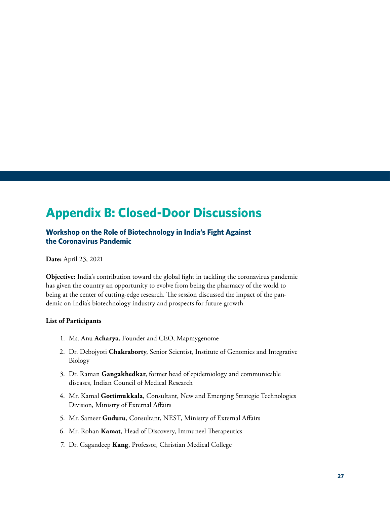### <span id="page-34-0"></span>**Appendix B: Closed-Door Discussions**

#### **Workshop on the Role of Biotechnology in India's Fight Against the Coronavirus Pandemic**

**Date:** April 23, 2021

**Objective:** India's contribution toward the global fight in tackling the coronavirus pandemic has given the country an opportunity to evolve from being the pharmacy of the world to being at the center of cutting-edge research. The session discussed the impact of the pandemic on India's biotechnology industry and prospects for future growth*.*

#### **List of Participants**

- 1. Ms. Anu **Acharya**, Founder and CEO, Mapmygenome
- 2. Dr. Debojyoti **Chakraborty**, Senior Scientist, Institute of Genomics and Integrative Biology
- 3. Dr. Raman **Gangakhedkar**, former head of epidemiology and communicable diseases, Indian Council of Medical Research
- 4. Mr. Kamal **Gottimukkala**, Consultant, New and Emerging Strategic Technologies Division, Ministry of External Affairs
- 5. Mr. Sameer **Guduru**, Consultant, NEST, Ministry of External Affairs
- 6. Mr. Rohan **Kamat**, Head of Discovery, Immuneel Therapeutics
- 7. Dr. Gagandeep **Kang**, Professor, Christian Medical College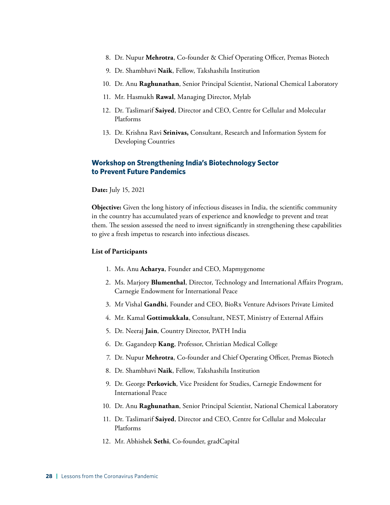- 8. Dr. Nupur **Mehrotra**, Co-founder & Chief Operating Officer, Premas Biotech
- 9. Dr. Shambhavi **Naik**, Fellow, Takshashila Institution
- 10. Dr. Anu **Raghunathan**, Senior Principal Scientist, National Chemical Laboratory
- 11. Mr. Hasmukh **Rawal**, Managing Director, Mylab
- 12. Dr. Taslimarif **Saiyed**, Director and CEO, Centre for Cellular and Molecular Platforms
- 13. Dr. Krishna Ravi **Srinivas,** Consultant, Research and Information System for Developing Countries

#### **Workshop on Strengthening India's Biotechnology Sector to Prevent Future Pandemics**

**Date:** July 15, 2021

**Objective:** Given the long history of infectious diseases in India, the scientific community in the country has accumulated years of experience and knowledge to prevent and treat them. The session assessed the need to invest significantly in strengthening these capabilities to give a fresh impetus to research into infectious diseases.

#### **List of Participants**

- 1. Ms. Anu **Acharya**, Founder and CEO, Mapmygenome
- 2. Ms. Marjory **Blumenthal**, Director, Technology and International Affairs Program, Carnegie Endowment for International Peace
- 3. Mr Vishal **Gandhi**, Founder and CEO, BioRx Venture Advisors Private Limited
- 4. Mr. Kamal **Gottimukkala**, Consultant, NEST, Ministry of External Affairs
- 5. Dr. Neeraj **Jain**, Country Director, PATH India
- 6. Dr. Gagandeep **Kang**, Professor, Christian Medical College
- 7. Dr. Nupur **Mehrotra**, Co-founder and Chief Operating Officer, Premas Biotech
- 8. Dr. Shambhavi **Naik**, Fellow, Takshashila Institution
- 9. Dr. George **Perkovich**, Vice President for Studies, Carnegie Endowment for International Peace
- 10. Dr. Anu **Raghunathan**, Senior Principal Scientist, National Chemical Laboratory
- 11. Dr. Taslimarif **Saiyed**, Director and CEO, Centre for Cellular and Molecular Platforms
- 12. Mr. Abhishek **Sethi**, Co-founder, gradCapital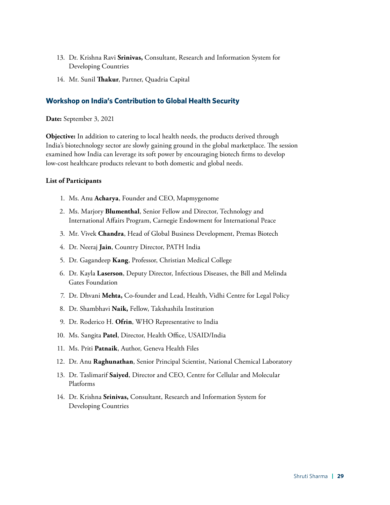- 13. Dr. Krishna Ravi **Srinivas,** Consultant, Research and Information System for Developing Countries
- 14. Mr. Sunil **Thakur**, Partner, Quadria Capital

#### **Workshop on India's Contribution to Global Health Security**

**Date:** September 3, 2021

**Objective:** In addition to catering to local health needs, the products derived through India's biotechnology sector are slowly gaining ground in the global marketplace. The session examined how India can leverage its soft power by encouraging biotech firms to develop low-cost healthcare products relevant to both domestic and global needs.

#### **List of Participants**

- 1. Ms. Anu **Acharya**, Founder and CEO, Mapmygenome
- 2. Ms. Marjory **Blumenthal**, Senior Fellow and Director, Technology and International Affairs Program, Carnegie Endowment for International Peace
- 3. Mr. Vivek **Chandra**, Head of Global Business Development, Premas Biotech
- 4. Dr. Neeraj **Jain**, Country Director, PATH India
- 5. Dr. Gagandeep **Kang**, Professor, Christian Medical College
- 6. Dr. Kayla **Laserson**, Deputy Director, Infectious Diseases, the Bill and Melinda Gates Foundation
- 7. Dr. Dhvani **Mehta,** Co-founder and Lead, Health, Vidhi Centre for Legal Policy
- 8. Dr. Shambhavi **Naik,** Fellow, Takshashila Institution
- 9. Dr. Roderico H. **Ofrin**, WHO Representative to India
- 10. Ms. Sangita **Patel**, Director, Health Office, USAID/India
- 11. Ms. Priti **Patnaik**, Author, Geneva Health Files
- 12. Dr. Anu **Raghunathan**, Senior Principal Scientist, National Chemical Laboratory
- 13. Dr. Taslimarif **Saiyed**, Director and CEO, Centre for Cellular and Molecular Platforms
- 14. Dr. Krishna **Srinivas,** Consultant, Research and Information System for Developing Countries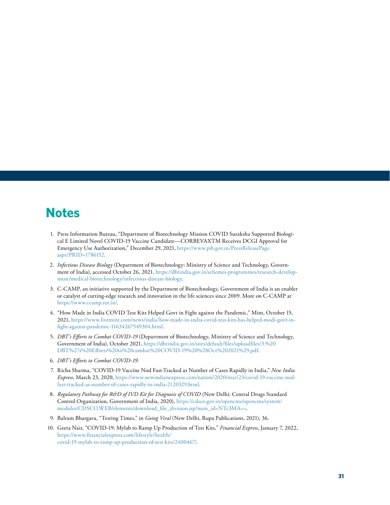### <span id="page-38-0"></span>**Notes**

- 1. Press Information Bureau, "Department of Biotechnology Mission COVID Suraksha Supported Biological E Limited Novel COVID-19 Vaccine Candidate—CORBEVAXTM Receives DCGI Approval for Emergency Use Authorization," December 29, 2021, [https://www.pib.gov.in/PressReleasePage.](https://www.pib.gov.in/PressReleasePage.aspx?PRID=1786152) [aspx?PRID=1786152.](https://www.pib.gov.in/PressReleasePage.aspx?PRID=1786152)
- 2. *Infectious Disease Biology* (Department of Biotechnology: Ministry of Science and Technology, Government of India), accessed October 26, 2021, [https://dbtindia.gov.in/schemes-programmes/research-develop](https://dbtindia.gov.in/schemes-programmes/research-development/medical-biotechnology/infectious-disease-biology)[ment/medical-biotechnology/infectious-disease-biology.](https://dbtindia.gov.in/schemes-programmes/research-development/medical-biotechnology/infectious-disease-biology)
- 3. C-CAMP, an initiative supported by the Department of Biotechnology, Government of India is an enabler or catalyst of cutting-edge research and innovation in the life sciences since 2009. More on C-CAMP at <https://www.ccamp.res.in/>.
- 4. "How Made in India COVID Test Kits Helped Govt in Fight against the Pandemic," Mint, October 15, 2021, [https://www.livemint.com/news/india/how-made-in-india-covid-test-kits-has-helped-modi-govt-in](https://www.livemint.com/news/india/how-made-in-india-covid-test-kits-has-helped-modi-govt-in-fight-against-pandemic-11634267549304.html)[fight-against-pandemic-11634267549304.html.](https://www.livemint.com/news/india/how-made-in-india-covid-test-kits-has-helped-modi-govt-in-fight-against-pandemic-11634267549304.html)
- 5. *DBT's Efforts to Combat COVID-19* (Department of Biotechnology, Ministry of Science and Technology, Government of India), October 2021, [https://dbtindia.gov.in/sites/default/files/uploadfiles/3.%20](https://dbtindia.gov.in/sites/default/files/uploadfiles/3.%20DBT%27s%20Efforts%20to%20combat%20COVID-19%20%28Oct%202021%29.pdf) [DBT%27s%20Efforts%20to%20combat%20COVID-19%20%28Oct%202021%29.pdf](https://dbtindia.gov.in/sites/default/files/uploadfiles/3.%20DBT%27s%20Efforts%20to%20combat%20COVID-19%20%28Oct%202021%29.pdf).
- 6. *DBT's Efforts to Combat COVID-19.*
- 7. Richa Sharma, "COVID-19 Vaccine Nod Fast-Tracked as Number of Cases Rapidly in India," *New India Express*, March 23, 2020, [https://www.newindianexpress.com/nation/2020/mar/23/covid-19-vaccine-nod](https://www.newindianexpress.com/nation/2020/mar/23/covid-19-vaccine-nod-fast-tracked-as-number-of-cases-rapidly-in-india-2120329.html)[fast-tracked-as-number-of-cases-rapidly-in-india-2120329.html.](https://www.newindianexpress.com/nation/2020/mar/23/covid-19-vaccine-nod-fast-tracked-as-number-of-cases-rapidly-in-india-2120329.html)
- 8. *Regulatory Pathway for R&D of IVD Kit for Diagnosis of COVID* (New Delhi: Central Drugs Standard Control Organization, Government of India, 2020), [https://cdsco.gov.in/opencms/opencms/system/](https://cdsco.gov.in/opencms/opencms/system/modules/CDSCO.WEB/elements/download_file_division.jsp?num_id=NTc3MA==) [modules/CDSCO.WEB/elements/download\\_file\\_division.jsp?num\\_id=NTc3MA==.](https://cdsco.gov.in/opencms/opencms/system/modules/CDSCO.WEB/elements/download_file_division.jsp?num_id=NTc3MA==)
- 9. Balram Bhargava, "Testing Times," in *Going Viral* (New Delhi, Rupa Publications, 2021), 36.
- 10. Geeta Nair, "COVID-19: Mylab to Ramp Up Production of Test Kits," *Financial Express*, January 7, 2022, [https://www.financialexpress.com/lifestyle/health/](https://www.financialexpress.com/lifestyle/health/covid-19-mylab-to-ramp-up-production-of-test-kits/2400467/) [covid-19-mylab-to-ramp-up-production-of-test-kits/2400467/](https://www.financialexpress.com/lifestyle/health/covid-19-mylab-to-ramp-up-production-of-test-kits/2400467/).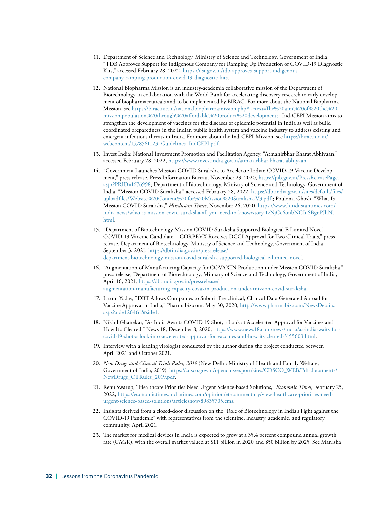- 11. Department of Science and Technology, Ministry of Science and Technology, Government of India, "TDB Approves Support for Indigenous Company for Ramping Up Production of COVID-19 Diagnostic Kits," accessed February 28, 2022, [https://dst.gov.in/tdb-approves-support-indigenous](https://dst.gov.in/tdb-approves-support-indigenous-company-ramping-production-covid-19-diagnostic-kits)[company-ramping-production-covid-19-diagnostic-kits](https://dst.gov.in/tdb-approves-support-indigenous-company-ramping-production-covid-19-diagnostic-kits).
- 12. National Biopharma Mission is an industry-academia collaborative mission of the Department of Biotechnology in collaboration with the World Bank for accelerating discovery research to early development of biopharmaceuticals and to be implemented by BIRAC. For more about the National Biopharma Mission, see [https://birac.nic.in/nationalbiopharmamission.php#:](https://birac.nic.in/nationalbiopharmamission.php#)~:text=The%20aim%20of%20the%20 mission,population%20through%20affordable%20product%20development; ; Ind-CEPI Mission aims to strengthen the development of vaccines for the diseases of epidemic potential in India as well as build coordinated preparedness in the Indian public health system and vaccine industry to address existing and emergent infectious threats in India. For more about the Ind-CEPI Mission, see [https://birac.nic.in/](https://birac.nic.in/webcontent/1578561123_Guidelines_IndCEPI.pdf) [webcontent/1578561123\\_Guidelines\\_IndCEPI.pdf](https://birac.nic.in/webcontent/1578561123_Guidelines_IndCEPI.pdf).
- 13. Invest India: National Investment Promotion and Facilitation Agency, "Atmanirbhar Bharat Abhiyaan," accessed February 28, 2022, <https://www.investindia.gov.in/atmanirbhar-bharat-abhiyaan>.
- 14. "Government Launches Mission COVID Suraksha to Accelerate Indian COVID-19 Vaccine Development," press release, Press Information Bureau*,* November 29, 2020, [https://pib.gov.in/PressReleasePage.](https://pib.gov.in/PressReleasePage.aspx?PRID=1676998) [aspx?PRID=1676998;](https://pib.gov.in/PressReleasePage.aspx?PRID=1676998) Department of Biotechnology, Ministry of Science and Technology, Government of India, "Mission COVID Suraksha," accessed February 28, 2022, [https://dbtindia.gov.in/sites/default/files/](https://dbtindia.gov.in/sites/default/files/uploadfiles/Website%20Content%20for%20Mission%20Suraksha-V3.pdf) [uploadfiles/Website%20Content%20for%20Mission%20Suraksha-V3.pdf](https://dbtindia.gov.in/sites/default/files/uploadfiles/Website%20Content%20for%20Mission%20Suraksha-V3.pdf);; Poulomi Ghosh, "What Is Mission COVID Suraksha," *Hindustan Times*, November 26, 2020, [https://www.hindustantimes.com/](https://www.hindustantimes.com/india-news/what-is-mission-covid-suraksha-all-you-need-to-know/story-1zNjCe6onbNGIuSBgnPJhN.html) [india-news/what-is-mission-covid-suraksha-all-you-need-to-know/story-1zNjCe6onbNGIuSBgnPJhN.](https://www.hindustantimes.com/india-news/what-is-mission-covid-suraksha-all-you-need-to-know/story-1zNjCe6onbNGIuSBgnPJhN.html) [html](https://www.hindustantimes.com/india-news/what-is-mission-covid-suraksha-all-you-need-to-know/story-1zNjCe6onbNGIuSBgnPJhN.html).
- 15. "Department of Biotechnology Mission COVID Suraksha Supported Biological E Limited Novel COVID-19 Vaccine Candidate—CORBEVX Receives DCGI Approval for Two Clinical Trials," press release, Department of Biotechnology, Ministry of Science and Technology, Government of India, September 3, 2021, [https://dbtindia.gov.in/pressrelease/](https://dbtindia.gov.in/pressrelease/department-biotechnology-mission-covid-suraksha-supported-biological-e-limited-novel) [department-biotechnology-mission-covid-suraksha-supported-biological-e-limited-novel](https://dbtindia.gov.in/pressrelease/department-biotechnology-mission-covid-suraksha-supported-biological-e-limited-novel).
- 16. "Augmentation of Manufacturing Capacity for COVAXIN Production under Mission COVID Suraksha," press release, Department of Biotechnology, Ministry of Science and Technology, Government of India, April 16, 2021, [https://dbtindia.gov.in/pressrelease/](https://dbtindia.gov.in/pressrelease/augmentation-manufacturing-capacity-covaxin-production-under-mission-covid-suraksha) [augmentation-manufacturing-capacity-covaxin-production-under-mission-covid-suraksha.](https://dbtindia.gov.in/pressrelease/augmentation-manufacturing-capacity-covaxin-production-under-mission-covid-suraksha)
- 17. Laxmi Yadav, "DBT Allows Companies to Submit Pre-clinical, Clinical Data Generated Abroad for Vaccine Approval in India," Pharmabiz.com, May 30, 2020, [http://www.pharmabiz.com/NewsDetails.](http://www.pharmabiz.com/NewsDetails.aspx?aid=126461&sid=1) [aspx?aid=126461&sid=1](http://www.pharmabiz.com/NewsDetails.aspx?aid=126461&sid=1).
- 18. Nikhil Ghanekar, "As India Awaits COVID-19 Shot, a Look at Accelerated Approval for Vaccines and How It's Cleared," News 18, December 8, 2020, [https://www.news18.com/news/india/as-india-waits-for](https://www.news18.com/news/india/as-india-waits-for-covid-19-shot-a-look-into-accelerated-approval-for-vaccines-and-how-its-cleared-3155603.html)[covid-19-shot-a-look-into-accelerated-approval-for-vaccines-and-how-its-cleared-3155603.html.](https://www.news18.com/news/india/as-india-waits-for-covid-19-shot-a-look-into-accelerated-approval-for-vaccines-and-how-its-cleared-3155603.html)
- 19. Interview with a leading virologist conducted by the author during the project conducted between April 2021 and October 2021.
- 20. *New Drugs and Clinical Trials Rules, 2019* (New Delhi: Ministry of Health and Family Welfare, Government of India, 2019), [https://cdsco.gov.in/opencms/export/sites/CDSCO\\_WEB/Pdf-documents/](https://cdsco.gov.in/opencms/export/sites/CDSCO_WEB/Pdf-documents/NewDrugs_CTRules_2019.pdf) [NewDrugs\\_CTRules\\_2019.pdf.](https://cdsco.gov.in/opencms/export/sites/CDSCO_WEB/Pdf-documents/NewDrugs_CTRules_2019.pdf)
- 21. Renu Swarup, "Healthcare Priorities Need Urgent Science-based Solutions," *Economic Times,* February 25, 2022, [https://economictimes.indiatimes.com/opinion/et-commentary/view-healthcare-priorities-need](https://economictimes.indiatimes.com/opinion/et-commentary/view-healthcare-priorities-need-urgent-science-based-solutions/articleshow/89835705.cms)[urgent-science-based-solutions/articleshow/89835705.cms](https://economictimes.indiatimes.com/opinion/et-commentary/view-healthcare-priorities-need-urgent-science-based-solutions/articleshow/89835705.cms).
- 22. Insights derived from a closed-door discussion on the "Role of Biotechnology in India's Fight against the COVID-19 Pandemic" with representatives from the scientific, industry, academic, and regulatory community, April 2021.
- 23. The market for medical devices in India is expected to grow at a 35.4 percent compound annual growth rate (CAGR), with the overall market valued at \$11 billion in 2020 and \$50 billion by 2025. See Manisha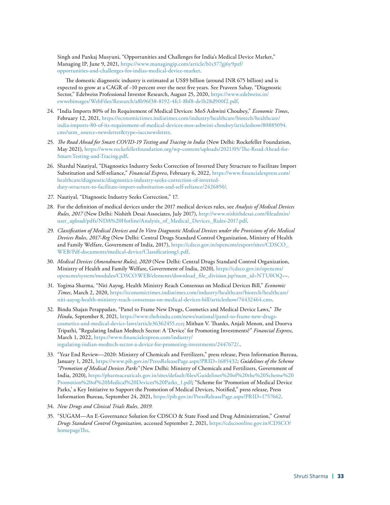Singh and Pankaj Musyuni, "Opportunities and Challenges for India's Medical Device Market," Managing IP, June 9, 2021, [https://www.managingip.com/article/b1s377gj6y9pzf/](https://www.managingip.com/article/b1s377gj6y9pzf/opportunities-and-challenges-for-indias-medical-device-market) [opportunities-and-challenges-for-indias-medical-device-market](https://www.managingip.com/article/b1s377gj6y9pzf/opportunities-and-challenges-for-indias-medical-device-market).

The domestic diagnostic industry is estimated at US\$9 billion (around INR 675 billion) and is expected to grow at a CAGR of ~10 percent over the next five years. See Praveen Sahay, "Diagnostic Sector," Edelweiss Professional Investor Research, August 25, 2020, [https://www.edelweiss.in/](https://www.edelweiss.in/ewwebimages/WebFiles/Research/a8b96f38-8192-4fc1-8bf8-de1b28d900f2.pdf) [ewwebimages/WebFiles/Research/a8b96f38-8192-4fc1-8bf8-de1b28d900f2.pdf](https://www.edelweiss.in/ewwebimages/WebFiles/Research/a8b96f38-8192-4fc1-8bf8-de1b28d900f2.pdf).

- 24. "India Imports 80% of Its Requirement of Medical Devices: MoS Ashwini Choubey," *Economic Times*, February 12, 2021, [https://economictimes.indiatimes.com/industry/healthcare/biotech/healthcare/](https://economictimes.indiatimes.com/industry/healthcare/biotech/healthcare/india-imports-80-of-its-requirement-of-medical-devices-mos-ashwini-choubey/articleshow/80885094.cms?utm_source=newsletter&type=iaccnewsletter) [india-imports-80-of-its-requirement-of-medical-devices-mos-ashwini-choubey/articleshow/80885094.](https://economictimes.indiatimes.com/industry/healthcare/biotech/healthcare/india-imports-80-of-its-requirement-of-medical-devices-mos-ashwini-choubey/articleshow/80885094.cms?utm_source=newsletter&type=iaccnewsletter) [cms?utm\\_source=newsletter&type=iaccnewsletter](https://economictimes.indiatimes.com/industry/healthcare/biotech/healthcare/india-imports-80-of-its-requirement-of-medical-devices-mos-ashwini-choubey/articleshow/80885094.cms?utm_source=newsletter&type=iaccnewsletter).
- 25. *The Road Ahead for Smart COVID-19 Testing and Tracing in India* (New Delhi: Rockefeller Foundation, May 2021), [https://www.rockefellerfoundation.org/wp-content/uploads/2021/05/The-Road-Ahead-for-](https://www.rockefellerfoundation.org/wp-content/uploads/2021/05/The-Road-Ahead-for-Smart-Testing-and-Tracing.pdf)[Smart-Testing-and-Tracing.pdf](https://www.rockefellerfoundation.org/wp-content/uploads/2021/05/The-Road-Ahead-for-Smart-Testing-and-Tracing.pdf).
- 26. Shardul Nautiyal, "Diagnostics Industry Seeks Correction of Inverted Duty Structure to Facilitate Import Substitution and Self-reliance," *Financial Express*, February 6, 2022, [https://www.financialexpress.com/](https://www.financialexpress.com/healthcare/diagnostic/diagnostics-industry-seeks-correction-of-inverted-duty-structure-to-facilitate-import-substitution-and-self-reliance/2426850/) [healthcare/diagnostic/diagnostics-industry-seeks-correction-of-inverted](https://www.financialexpress.com/healthcare/diagnostic/diagnostics-industry-seeks-correction-of-inverted-duty-structure-to-facilitate-import-substitution-and-self-reliance/2426850/)[duty-structure-to-facilitate-import-substitution-and-self-reliance/2426850/.](https://www.financialexpress.com/healthcare/diagnostic/diagnostics-industry-seeks-correction-of-inverted-duty-structure-to-facilitate-import-substitution-and-self-reliance/2426850/)
- 27. Nautiyal, "Diagnostic Industry Seeks Correction," 17.
- 28. For the definition of medical devices under the 2017 medical devices rules, see *Analysis of Medical Devices Rules, 2017* (New Delhi: Nishith Desai Associates, July 2017), [http://www.nishithdesai.com/fileadmin/](http://www.nishithdesai.com/fileadmin/user_upload/pdfs/NDA%20Hotline/Analysis_of_Medical_Devices_Rules-2017.pdf) [user\\_upload/pdfs/NDA%20Hotline/Analysis\\_of\\_Medical\\_Devices\\_Rules-2017.pdf.](http://www.nishithdesai.com/fileadmin/user_upload/pdfs/NDA%20Hotline/Analysis_of_Medical_Devices_Rules-2017.pdf)
- 29. *Classification of Medical Devices and In Vitro Diagnostic Medical Devices under the Provisions of the Medical Devices Rules, 2017-Reg* (New Delhi: Central Drugs Standard Control Organization, Ministry of Health and Family Welfare, Government of India, 2017), [https://cdsco.gov.in/opencms/export/sites/CDSCO\\_](https://cdsco.gov.in/opencms/export/sites/CDSCO_WEB/Pdf-documents/medical-device/Classificationg1.pdf) [WEB/Pdf-documents/medical-device/Classificationg1.pdf.](https://cdsco.gov.in/opencms/export/sites/CDSCO_WEB/Pdf-documents/medical-device/Classificationg1.pdf)
- 30. *Medical Devices (Amendment Rules), 2020* (New Delhi: Central Drugs Standard Control Organization, Ministry of Health and Family Welfare, Government of India, 2020), [https://cdsco.gov.in/opencms/](https://cdsco.gov.in/opencms/opencms/system/modules/CDSCO.WEB/elements/download_file_division.jsp?num_id=NTU0OQ==) [opencms/system/modules/CDSCO.WEB/elements/download\\_file\\_division.jsp?num\\_id=NTU0OQ==](https://cdsco.gov.in/opencms/opencms/system/modules/CDSCO.WEB/elements/download_file_division.jsp?num_id=NTU0OQ==).
- 31. Yogima Sharma, "Niti Aayog, Health Ministry Reach Consensus on Medical Devices Bill," *Economic Times*, March 2, 2020, [https://economictimes.indiatimes.com/industry/healthcare/biotech/healthcare/](https://economictimes.indiatimes.com/industry/healthcare/biotech/healthcare/niti-aayog-health-ministry-reach-consensus-on-medical-devices-bill/articleshow/74432464.cms) [niti-aayog-health-ministry-reach-consensus-on-medical-devices-bill/articleshow/74432464.cms](https://economictimes.indiatimes.com/industry/healthcare/biotech/healthcare/niti-aayog-health-ministry-reach-consensus-on-medical-devices-bill/articleshow/74432464.cms).
- 32. Bindu Shajan Perappadan, "Panel to Frame New Drugs, Cosmetics and Medical Device Laws," *The Hindu*, September 8, 2021, [https://www.thehindu.com/news/national/panel-to-frame-new-drugs](https://www.thehindu.com/news/national/panel-to-frame-new-drugs-cosmetics-and-medical-device-laws/article36362455.ece)[cosmetics-and-medical-device-laws/article36362455.ece](https://www.thehindu.com/news/national/panel-to-frame-new-drugs-cosmetics-and-medical-device-laws/article36362455.ece); Mithun V. Thanks, Anjali Menon, and Doorva Tripathi, "Regulating Indian Medtech Sector: A 'Device' for Promoting Investments?" *Financial Express*, March 1, 2022, [https://www.financialexpress.com/industry/](https://www.financialexpress.com/industry/regulating-indian-medtech-sector-a-device-for-promoting-investments/2447672/) [regulating-indian-medtech-sector-a-device-for-promoting-investments/2447672/](https://www.financialexpress.com/industry/regulating-indian-medtech-sector-a-device-for-promoting-investments/2447672/)..
- 33. "Year End Review—2020: Ministry of Chemicals and Fertilizers," press release, Press Information Bureau, January 1, 2021, [https://www.pib.gov.in/PressReleasePage.aspx?PRID=1685432;](https://www.pib.gov.in/PressReleasePage.aspx?PRID=1685432) *Guidelines of the Scheme "Promotion of Medical Devices Parks"* (New Delhi: Ministry of Chemicals and Fertilizers, Government of India, 2020), [https://pharmaceuticals.gov.in/sites/default/files/Guidelines%20of%20the%20Scheme%20](https://pharmaceuticals.gov.in/sites/default/files/Guidelines%20of%20the%20Scheme%20Promotion%20of%20Medical%20Devices%20Parks_1.pdf) [Promotion%20of%20Medical%20Devices%20Parks\\_1.pdf](https://pharmaceuticals.gov.in/sites/default/files/Guidelines%20of%20the%20Scheme%20Promotion%20of%20Medical%20Devices%20Parks_1.pdf); "Scheme for 'Promotion of Medical Device Parks,' a Key Initiative to Support the Promotion of Medical Devices, Notified," press release, Press Information Bureau, September 24, 2021, [https://pib.gov.in/PressReleasePage.aspx?PRID=1757662.](https://pib.gov.in/PressReleasePage.aspx?PRID=1757662)
- 34. *New Drugs and Clinical Trials Rules, 2019.*
- 35. "SUGAM—An E-Governance Solution for CDSCO & State Food and Drug Administration," *Central Drugs Standard Control Organization,* accessed September 2, 2021, [https://cdscoonline.gov.in/CDSCO/](https://cdscoonline.gov.in/CDSCO/homepageThs) [homepageThs](https://cdscoonline.gov.in/CDSCO/homepageThs).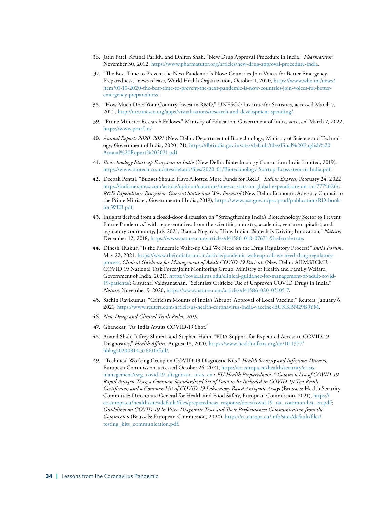- 36. Jatin Patel, Krunal Parikh, and Dhiren Shah, "New Drug Approval Procedure in India," *Pharmatutor*, November 30, 2012, [https://www.pharmatutor.org/articles/new-drug-approval-procedure-india.](https://www.pharmatutor.org/articles/new-drug-approval-procedure-india)
- 37. "The Best Time to Prevent the Next Pandemic Is Now: Countries Join Voices for Better Emergency Preparedness," news release, World Health Organization, October 1, 2020, [https://www.who.int/news/](https://www.who.int/news/item/01-10-2020-the-best-time-to-prevent-the-next-pandemic-is-now-countries-join-voices-for-better-emergency-preparedness) [item/01-10-2020-the-best-time-to-prevent-the-next-pandemic-is-now-countries-join-voices-for-better](https://www.who.int/news/item/01-10-2020-the-best-time-to-prevent-the-next-pandemic-is-now-countries-join-voices-for-better-emergency-preparedness)[emergency-preparedness](https://www.who.int/news/item/01-10-2020-the-best-time-to-prevent-the-next-pandemic-is-now-countries-join-voices-for-better-emergency-preparedness).
- 38. "How Much Does Your Country Invest in R&D," UNESCO Institute for Statistics, accessed March 7, 2022, [http://uis.unesco.org/apps/visualisations/research-and-development-spending/.](http://uis.unesco.org/apps/visualisations/research-and-development-spending/)
- 39. "Prime Minister Research Fellows," Ministry of Education, Government of India, accessed March 7, 2022, [https://www.pmrf.in/.](https://www.pmrf.in/)
- 40. *Annual Report: 2020–2021* (New Delhi: Department of Biotechnology, Ministry of Science and Technology, Government of India, 2020–21), [https://dbtindia.gov.in/sites/default/files/Final%20English%20](https://dbtindia.gov.in/sites/default/files/Final%20English%20Annual%20Report%202021.pdf) [Annual%20Report%202021.pdf](https://dbtindia.gov.in/sites/default/files/Final%20English%20Annual%20Report%202021.pdf).
- 41. *Biotechnology Start-up Ecosystem in India* (New Delhi: Biotechnology Consortium India Limited, 2019), <https://www.biotech.co.in/sites/default/files/2020-01/Biotechnology-Startup-Ecosystem-in-India.pdf>.
- 42. Deepak Pental, "Budget Should Have Allotted More Funds for R&D," *Indian Express,* February 24, 2022, <https://indianexpress.com/article/opinion/columns/unesco-stats-on-global-expenditure-on-r-d-7775626/>; *R&D Expenditure Ecosystem: Current Status and Way Forward* (New Delhi: Economic Advisory Council to the Prime Minister, Government of India, 2019), [https://www.psa.gov.in/psa-prod/publication/RD-book](https://www.psa.gov.in/psa-prod/publication/RD-book-for-WEB.pdf)[for-WEB.pdf](https://www.psa.gov.in/psa-prod/publication/RD-book-for-WEB.pdf).
- 43. Insights derived from a closed-door discussion on "Strengthening India's Biotechnology Sector to Prevent Future Pandemics" with representatives from the scientific, industry, academic, venture capitalist, and regulatory community, July 2021; Bianca Nogardy, "How Indian Biotech Is Driving Innovation," *Nature,* December 12, 2018,<https://www.nature.com/articles/d41586-018-07671-9?referral=true>.
- 44. Dinesh Thakur, "Is the Pandemic Wake-up Call We Need on the Drug Regulatory Process?" *India Forum*, May 22, 2021, [https://www.theindiaforum.in/article/pandemic-wakeup-call-we-need-drug-regulatory](https://www.theindiaforum.in/article/pandemic-wakeup-call-we-need-drug-regulatory-process)[process;](https://www.theindiaforum.in/article/pandemic-wakeup-call-we-need-drug-regulatory-process) *Clinical Guidance for Management of Adult COVID-19 Patients* (New Delhi: AIIMS/ICMR-COVID 19 National Task Force/Joint Monitoring Group, Ministry of Health and Family Welfare, Government of India, 2021), [https://covid.aiims.edu/clinical-guidance-for-management-of-adult-covid-](https://covid.aiims.edu/clinical-guidance-for-management-of-adult-covid-19-patients/)[19-patients/;](https://covid.aiims.edu/clinical-guidance-for-management-of-adult-covid-19-patients/) Gayathri Vaidyanathan, "Scientists Criticize Use of Unproven COVID Drugs in India," *Nature,* November 9, 2020, [https://www.nature.com/articles/d41586-020-03105-7.](https://www.nature.com/articles/d41586-020-03105-7)
- 45. Sachin Ravikumar, "Criticism Mounts of India's 'Abrupt' Approval of Local Vaccine," Reuters, January 6, 2021, [https://www.reuters.com/article/us-health-coronavirus-india-vaccine-idUKKBN29B0YM.](https://www.reuters.com/article/us-health-coronavirus-india-vaccine-idUKKBN29B0YM)
- 46. *New Drugs and Clinical Trials Rules, 2019.*
- 47. Ghanekar, "As India Awaits COVID-19 Shot."
- 48. Anand Shah, Jeffrey Shuren, and Stephen Hahn, "FDA Support for Expedited Access to COVID-19 Diagnostics," *Health Affairs,* August 18, 2020, [https://www.healthaffairs.org/do/10.1377/](https://www.healthaffairs.org/do/10.1377/hblog20200814.376610/full/) [hblog20200814.376610/full/.](https://www.healthaffairs.org/do/10.1377/hblog20200814.376610/full/)
- 49. "Technical Working Group on COVID-19 Diagnostic Kits," *Health Security and Infectious Diseases,* European Commission, accessed October 26, 2021, [https://ec.europa.eu/health/security/crisis](https://ec.europa.eu/health/security/crisis-management/twg_covid-19_diagnostic_tests_en)[management/twg\\_covid-19\\_diagnostic\\_tests\\_en](https://ec.europa.eu/health/security/crisis-management/twg_covid-19_diagnostic_tests_en) ; *EU Health Preparedness: A Common List of COVID-19 Rapid Antigen Tests; a Common Standardized Set of Data to Be Included in COVID-19 Test Result Certificates; and a Common List of COVID-19 Laboratory Based Antigenic Assays* (Brussels: Health Security Committee: Directorate General for Health and Food Safety, European Commission, 2021), [https://](https://ec.europa.eu/health/sites/default/files/preparedness_response/docs/covid-19_rat_common-list_en.pdf) [ec.europa.eu/health/sites/default/files/preparedness\\_response/docs/covid-19\\_rat\\_common-list\\_en.pdf](https://ec.europa.eu/health/sites/default/files/preparedness_response/docs/covid-19_rat_common-list_en.pdf); *Guidelines on COVID-19 In Vitro Diagnostic Tests and Their Performance: Communication from the Commission* (Brussels: European Commission, 2020), [https://ec.europa.eu/info/sites/default/files/](https://ec.europa.eu/info/sites/default/files/testing_kits_communication.pdf) [testing\\_kits\\_communication.pdf](https://ec.europa.eu/info/sites/default/files/testing_kits_communication.pdf).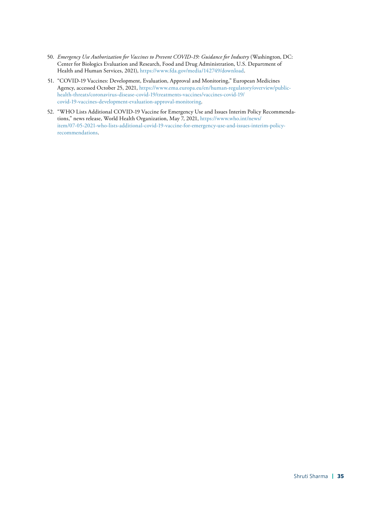- 50. *Emergency Use Authorization for Vaccines to Prevent COVID-19: Guidance for Industry* (Washington, DC: Center for Biologics Evaluation and Research, Food and Drug Administration, U.S. Department of Health and Human Services, 2021), [https://www.fda.gov/media/142749/download.](https://www.fda.gov/media/142749/download)
- 51. "COVID-19 Vaccines: Development, Evaluation, Approval and Monitoring," European Medicines Agency, accessed October 25, 2021, [https://www.ema.europa.eu/en/human-regulatory/overview/public](https://www.ema.europa.eu/en/human-regulatory/overview/public-health-threats/coronavirus-disease-covid-19/treatments-vaccines/vaccines-covid-19/covid-19-vaccines-development-evaluation-approval-monitoring)[health-threats/coronavirus-disease-covid-19/treatments-vaccines/vaccines-covid-19/](https://www.ema.europa.eu/en/human-regulatory/overview/public-health-threats/coronavirus-disease-covid-19/treatments-vaccines/vaccines-covid-19/covid-19-vaccines-development-evaluation-approval-monitoring) [covid-19-vaccines-development-evaluation-approval-monitoring.](https://www.ema.europa.eu/en/human-regulatory/overview/public-health-threats/coronavirus-disease-covid-19/treatments-vaccines/vaccines-covid-19/covid-19-vaccines-development-evaluation-approval-monitoring)
- 52. "WHO Lists Additional COVID-19 Vaccine for Emergency Use and Issues Interim Policy Recommendations," news release, World Health Organization, May 7, 2021, [https://www.who.int/news/](https://www.who.int/news/item/07-05-2021-who-lists-additional-covid-19-vaccine-for-emergency-use-and-issues-interim-policy-recommendations) [item/07-05-2021-who-lists-additional-covid-19-vaccine-for-emergency-use-and-issues-interim-policy](https://www.who.int/news/item/07-05-2021-who-lists-additional-covid-19-vaccine-for-emergency-use-and-issues-interim-policy-recommendations)[recommendations](https://www.who.int/news/item/07-05-2021-who-lists-additional-covid-19-vaccine-for-emergency-use-and-issues-interim-policy-recommendations).